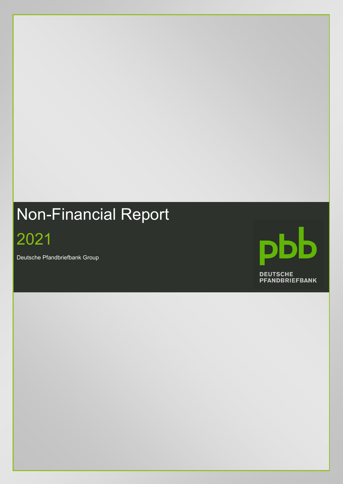# Non-Financial Report

2021

Deutsche Pfandbriefbank Group

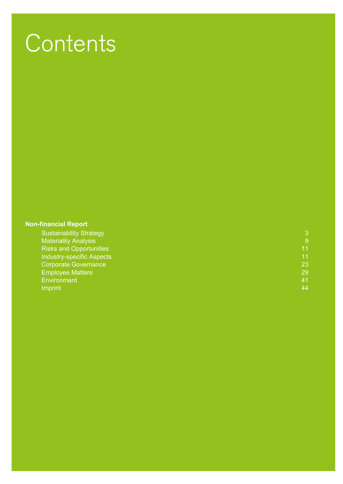## **Contents**

#### **[Non-financial Report](#page-2-0)**

| 9  |
|----|
| 11 |
| 11 |
| 23 |
| 29 |
| 41 |
| 44 |
|    |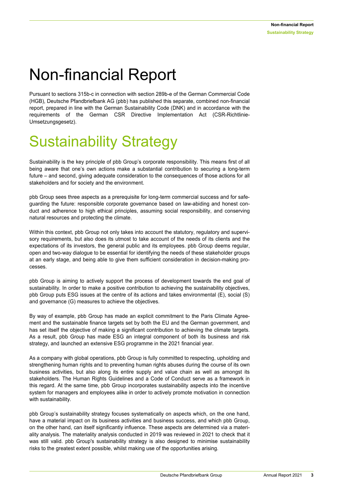### <span id="page-2-0"></span>Non-financial Report

Pursuant to sections 315b-c in connection with section 289b-e of the German Commercial Code (HGB), Deutsche Pfandbriefbank AG (pbb) has published this separate, combined non-financial report, prepared in line with the German Sustainability Code (DNK) and in accordance with the requirements of the German CSR Directive Implementation Act (CSR-Richtlinie-Umsetzungsgesetz).

### Sustainability Strategy

Sustainability is the key principle of pbb Group's corporate responsibility. This means first of all being aware that one's own actions make a substantial contribution to securing a long-term future – and second, giving adequate consideration to the consequences of those actions for all stakeholders and for society and the environment.

pbb Group sees three aspects as a prerequisite for long-term commercial success and for safeguarding the future: responsible corporate governance based on law-abiding and honest conduct and adherence to high ethical principles, assuming social responsibility, and conserving natural resources and protecting the climate.

Within this context, pbb Group not only takes into account the statutory, regulatory and supervisory requirements, but also does its utmost to take account of the needs of its clients and the expectations of its investors, the general public and its employees. pbb Group deems regular, open and two-way dialogue to be essential for identifying the needs of these stakeholder groups at an early stage, and being able to give them sufficient consideration in decision-making processes.

pbb Group is aiming to actively support the process of development towards the end goal of sustainability. In order to make a positive contribution to achieving the sustainability objectives, pbb Group puts ESG issues at the centre of its actions and takes environmental (E), social (S) and governance (G) measures to achieve the objectives.

By way of example, pbb Group has made an explicit commitment to the Paris Climate Agreement and the sustainable finance targets set by both the EU and the German government, and has set itself the objective of making a significant contribution to achieving the climate targets. As a result, pbb Group has made ESG an integral component of both its business and risk strategy, and launched an extensive ESG programme in the 2021 financial year.

As a company with global operations, pbb Group is fully committed to respecting, upholding and strengthening human rights and to preventing human rights abuses during the course of its own business activities, but also along its entire supply and value chain as well as amongst its stakeholders. The Human Rights Guidelines and a Code of Conduct serve as a framework in this regard. At the same time, pbb Group incorporates sustainability aspects into the incentive system for managers and employees alike in order to actively promote motivation in connection with sustainability.

pbb Group's sustainability strategy focuses systematically on aspects which, on the one hand, have a material impact on its business activities and business success, and which pbb Group, on the other hand, can itself significantly influence. These aspects are determined via a materiality analysis. The materiality analysis conducted in 2019 was reviewed in 2021 to check that it was still valid. pbb Group's sustainability strategy is also designed to minimise sustainability risks to the greatest extent possible, whilst making use of the opportunities arising.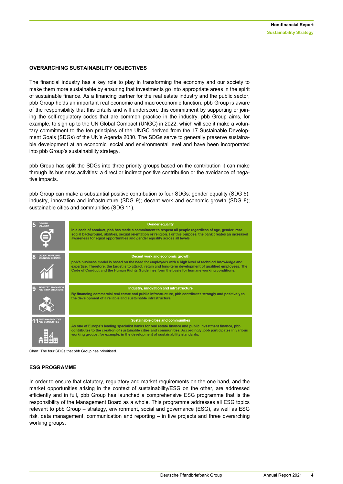#### **OVERARCHING SUSTAINABILITY OBJECTIVES**

The financial industry has a key role to play in transforming the economy and our society to make them more sustainable by ensuring that investments go into appropriate areas in the spirit of sustainable finance. As a financing partner for the real estate industry and the public sector, pbb Group holds an important real economic and macroeconomic function. pbb Group is aware of the responsibility that this entails and will underscore this commitment by supporting or joining the self-regulatory codes that are common practice in the industry. pbb Group aims, for example, to sign up to the UN Global Compact (UNGC) in 2022, which will see it make a voluntary commitment to the ten principles of the UNGC derived from the 17 Sustainable Development Goals (SDGs) of the UN's Agenda 2030. The SDGs serve to generally preserve sustainable development at an economic, social and environmental level and have been incorporated into pbb Group's sustainability strategy.

pbb Group has split the SDGs into three priority groups based on the contribution it can make through its business activities: a direct or indirect positive contribution or the avoidance of negative impacts.

pbb Group can make a substantial positive contribution to four SDGs: gender equality (SDG 5); industry, innovation and infrastructure (SDG 9); decent work and economic growth (SDG 8); sustainable cities and communities (SDG 11).



Chart: The four SDGs that pbb Group has prioritised.

#### **ESG PROGRAMME**

In order to ensure that statutory, regulatory and market requirements on the one hand, and the market opportunities arising in the context of sustainability/ESG on the other, are addressed efficiently and in full, pbb Group has launched a comprehensive ESG programme that is the responsibility of the Management Board as a whole. This programme addresses all ESG topics relevant to pbb Group – strategy, environment, social and governance (ESG), as well as ESG risk, data management, communication and reporting – in five projects and three overarching working groups.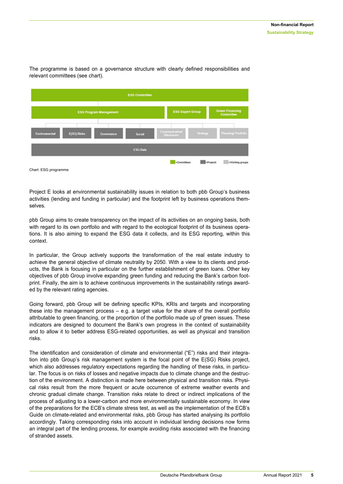

The programme is based on a governance structure with clearly defined responsibilities and relevant committees (see chart).

Project E looks at environmental sustainability issues in relation to both pbb Group's business activities (lending and funding in particular) and the footprint left by business operations themselves.

pbb Group aims to create transparency on the impact of its activities on an ongoing basis, both with regard to its own portfolio and with regard to the ecological footprint of its business operations. It is also aiming to expand the ESG data it collects, and its ESG reporting, within this context.

In particular, the Group actively supports the transformation of the real estate industry to achieve the general objective of climate neutrality by 2050. With a view to its clients and products, the Bank is focusing in particular on the further establishment of green loans. Other key objectives of pbb Group involve expanding green funding and reducing the Bank's carbon footprint. Finally, the aim is to achieve continuous improvements in the sustainability ratings awarded by the relevant rating agencies.

Going forward, pbb Group will be defining specific KPIs, KRIs and targets and incorporating these into the management process – e.g. a target value for the share of the overall portfolio attributable to green financing, or the proportion of the portfolio made up of green issues. These indicators are designed to document the Bank's own progress in the context of sustainability and to allow it to better address ESG-related opportunities, as well as physical and transition risks.

The identification and consideration of climate and environmental ("E") risks and their integration into pbb Group's risk management system is the focal point of the E(SG) Risks project, which also addresses regulatory expectations regarding the handling of these risks, in particular. The focus is on risks of losses and negative impacts due to climate change and the destruction of the environment. A distinction is made here between physical and transition risks. Physical risks result from the more frequent or acute occurrence of extreme weather events and chronic gradual climate change. Transition risks relate to direct or indirect implications of the process of adjusting to a lower-carbon and more environmentally sustainable economy. In view of the preparations for the ECB's climate stress test, as well as the implementation of the ECB's Guide on climate-related and environmental risks, pbb Group has started analysing its portfolio accordingly. Taking corresponding risks into account in individual lending decisions now forms an integral part of the lending process, for example avoiding risks associated with the financing of stranded assets.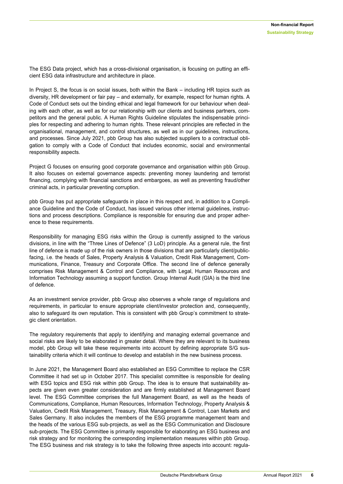The ESG Data project, which has a cross-divisional organisation, is focusing on putting an efficient ESG data infrastructure and architecture in place.

In Project S, the focus is on social issues, both within the Bank – including HR topics such as diversity, HR development or fair pay – and externally, for example, respect for human rights. A Code of Conduct sets out the binding ethical and legal framework for our behaviour when dealing with each other, as well as for our relationship with our clients and business partners, competitors and the general public. A Human Rights Guideline stipulates the indispensable principles for respecting and adhering to human rights. These relevant principles are reflected in the organisational, management, and control structures, as well as in our guidelines, instructions, and processes. Since July 2021, pbb Group has also subjected suppliers to a contractual obligation to comply with a Code of Conduct that includes economic, social and environmental responsibility aspects.

Project G focuses on ensuring good corporate governance and organisation within pbb Group. It also focuses on external governance aspects: preventing money laundering and terrorist financing, complying with financial sanctions and embargoes, as well as preventing fraud/other criminal acts, in particular preventing corruption.

pbb Group has put appropriate safeguards in place in this respect and, in addition to a Compliance Guideline and the Code of Conduct, has issued various other internal guidelines, instructions and process descriptions. Compliance is responsible for ensuring due and proper adherence to these requirements.

Responsibility for managing ESG risks within the Group is currently assigned to the various divisions, in line with the "Three Lines of Defence" (3 LoD) principle. As a general rule, the first line of defence is made up of the risk owners in those divisions that are particularly client/publicfacing, i.e. the heads of Sales, Property Analysis & Valuation, Credit Risk Management, Communications, Finance, Treasury and Corporate Office. The second line of defence generally comprises Risk Management & Control and Compliance, with Legal, Human Resources and Information Technology assuming a support function. Group Internal Audit (GIA) is the third line of defence.

As an investment service provider, pbb Group also observes a whole range of regulations and requirements, in particular to ensure appropriate client/investor protection and, consequently, also to safeguard its own reputation. This is consistent with pbb Group's commitment to strategic client orientation.

The regulatory requirements that apply to identifying and managing external governance and social risks are likely to be elaborated in greater detail. Where they are relevant to its business model, pbb Group will take these requirements into account by defining appropriate S/G sustainability criteria which it will continue to develop and establish in the new business process.

In June 2021, the Management Board also established an ESG Committee to replace the CSR Committee it had set up in October 2017. This specialist committee is responsible for dealing with ESG topics and ESG risk within pbb Group. The idea is to ensure that sustainability aspects are given even greater consideration and are firmly established at Management Board level. The ESG Committee comprises the full Management Board, as well as the heads of Communications, Compliance, Human Resources, Information Technology, Property Analysis & Valuation, Credit Risk Management, Treasury, Risk Management & Control, Loan Markets and Sales Germany. It also includes the members of the ESG programme management team and the heads of the various ESG sub-projects, as well as the ESG Communication and Disclosure sub-projects. The ESG Committee is primarily responsible for elaborating an ESG business and risk strategy and for monitoring the corresponding implementation measures within pbb Group. The ESG business and risk strategy is to take the following three aspects into account: regula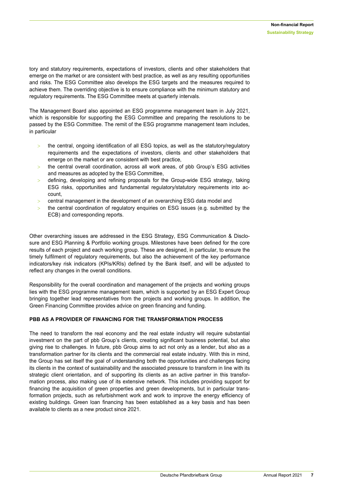tory and statutory requirements, expectations of investors, clients and other stakeholders that emerge on the market or are consistent with best practice, as well as any resulting opportunities and risks. The ESG Committee also develops the ESG targets and the measures required to achieve them. The overriding objective is to ensure compliance with the minimum statutory and regulatory requirements. The ESG Committee meets at quarterly intervals.

The Management Board also appointed an ESG programme management team in July 2021, which is responsible for supporting the ESG Committee and preparing the resolutions to be passed by the ESG Committee. The remit of the ESG programme management team includes, in particular

- the central, ongoing identification of all ESG topics, as well as the statutory/regulatory requirements and the expectations of investors, clients and other stakeholders that emerge on the market or are consistent with best practice,
- $>$  the central overall coordination, across all work areas, of pbb Group's ESG activities and measures as adopted by the ESG Committee,
- $\geq$  defining, developing and refining proposals for the Group-wide ESG strategy, taking ESG risks, opportunities and fundamental regulatory/statutory requirements into account,
- $\ge$  central management in the development of an overarching ESG data model and
- the central coordination of regulatory enquiries on ESG issues (e.g. submitted by the ECB) and corresponding reports.

Other overarching issues are addressed in the ESG Strategy, ESG Communication & Disclosure and ESG Planning & Portfolio working groups. Milestones have been defined for the core results of each project and each working group. These are designed, in particular, to ensure the timely fulfilment of regulatory requirements, but also the achievement of the key performance indicators/key risk indicators (KPIs/KRIs) defined by the Bank itself, and will be adjusted to reflect any changes in the overall conditions.

Responsibility for the overall coordination and management of the projects and working groups lies with the ESG programme management team, which is supported by an ESG Expert Group bringing together lead representatives from the projects and working groups. In addition, the Green Financing Committee provides advice on green financing and funding.

#### **PBB AS A PROVIDER OF FINANCING FOR THE TRANSFORMATION PROCESS**

The need to transform the real economy and the real estate industry will require substantial investment on the part of pbb Group's clients, creating significant business potential, but also giving rise to challenges. In future, pbb Group aims to act not only as a lender, but also as a transformation partner for its clients and the commercial real estate industry. With this in mind, the Group has set itself the goal of understanding both the opportunities and challenges facing its clients in the context of sustainability and the associated pressure to transform in line with its strategic client orientation, and of supporting its clients as an active partner in this transformation process, also making use of its extensive network. This includes providing support for financing the acquisition of green properties and green developments, but in particular transformation projects, such as refurbishment work and work to improve the energy efficiency of existing buildings. Green loan financing has been established as a key basis and has been available to clients as a new product since 2021.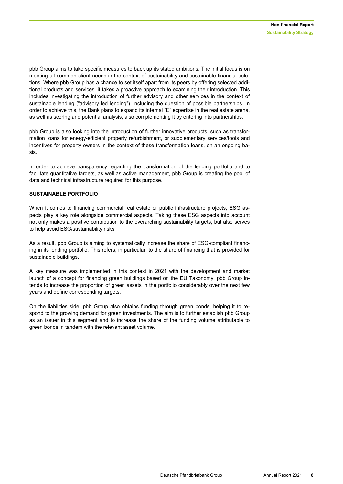pbb Group aims to take specific measures to back up its stated ambitions. The initial focus is on meeting all common client needs in the context of sustainability and sustainable financial solutions. Where pbb Group has a chance to set itself apart from its peers by offering selected additional products and services, it takes a proactive approach to examining their introduction. This includes investigating the introduction of further advisory and other services in the context of sustainable lending ("advisory led lending"), including the question of possible partnerships. In order to achieve this, the Bank plans to expand its internal "E" expertise in the real estate arena, as well as scoring and potential analysis, also complementing it by entering into partnerships.

pbb Group is also looking into the introduction of further innovative products, such as transformation loans for energy-efficient property refurbishment, or supplementary services/tools and incentives for property owners in the context of these transformation loans, on an ongoing basis.

In order to achieve transparency regarding the transformation of the lending portfolio and to facilitate quantitative targets, as well as active management, pbb Group is creating the pool of data and technical infrastructure required for this purpose.

#### **SUSTAINABLE PORTFOLIO**

When it comes to financing commercial real estate or public infrastructure projects, ESG aspects play a key role alongside commercial aspects. Taking these ESG aspects into account not only makes a positive contribution to the overarching sustainability targets, but also serves to help avoid ESG/sustainability risks.

As a result, pbb Group is aiming to systematically increase the share of ESG-compliant financing in its lending portfolio. This refers, in particular, to the share of financing that is provided for sustainable buildings.

A key measure was implemented in this context in 2021 with the development and market launch of a concept for financing green buildings based on the EU Taxonomy. pbb Group intends to increase the proportion of green assets in the portfolio considerably over the next few years and define corresponding targets.

<span id="page-7-0"></span>On the liabilities side, pbb Group also obtains funding through green bonds, helping it to respond to the growing demand for green investments. The aim is to further establish pbb Group as an issuer in this segment and to increase the share of the funding volume attributable to green bonds in tandem with the relevant asset volume.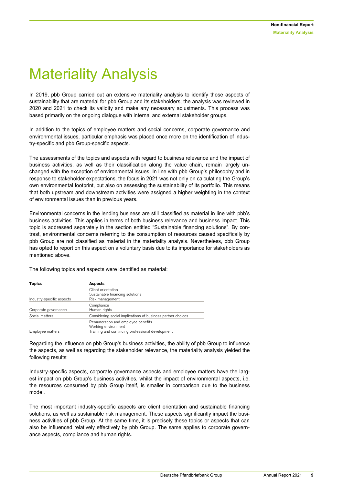### Materiality Analysis

In 2019, pbb Group carried out an extensive materiality analysis to identify those aspects of sustainability that are material for pbb Group and its stakeholders; the analysis was reviewed in 2020 and 2021 to check its validity and make any necessary adjustments. This process was based primarily on the ongoing dialogue with internal and external stakeholder groups.

In addition to the topics of employee matters and social concerns, corporate governance and environmental issues, particular emphasis was placed once more on the identification of industry-specific and pbb Group-specific aspects.

The assessments of the topics and aspects with regard to business relevance and the impact of business activities, as well as their classification along the value chain, remain largely unchanged with the exception of environmental issues. In line with pbb Group's philosophy and in response to stakeholder expectations, the focus in 2021 was not only on calculating the Group's own environmental footprint, but also on assessing the sustainability of its portfolio. This means that both upstream and downstream activities were assigned a higher weighting in the context of environmental issues than in previous years.

Environmental concerns in the lending business are still classified as material in line with pbb's business activities. This applies in terms of both business relevance and business impact. This topic is addressed separately in the section entitled "Sustainable financing solutions". By contrast, environmental concerns referring to the consumption of resources caused specifically by pbb Group are not classified as material in the materiality analysis. Nevertheless, pbb Group has opted to report on this aspect on a voluntary basis due to its importance for stakeholders as mentioned above.

| <b>Topics</b>             | <b>Aspects</b>                                                                                                |
|---------------------------|---------------------------------------------------------------------------------------------------------------|
|                           | Client orientation                                                                                            |
| Industry-specific aspects | Sustainable financing solutions<br>Risk management                                                            |
| Corporate governance      | Compliance<br>Human rights                                                                                    |
| Social matters            | Considering social implications of business partner choices                                                   |
| Employee matters          | Remuneration and employee benefits<br>Working environment<br>Training and continuing professional development |

The following topics and aspects were identified as material:

Regarding the influence on pbb Group's business activities, the ability of pbb Group to influence the aspects, as well as regarding the stakeholder relevance, the materiality analysis yielded the following results:

Industry-specific aspects, corporate governance aspects and employee matters have the largest impact on pbb Group's business activities, whilst the impact of environmental aspects, i.e. the resources consumed by pbb Group itself, is smaller in comparison due to the business model.

The most important industry-specific aspects are client orientation and sustainable financing solutions, as well as sustainable risk management. These aspects significantly impact the business activities of pbb Group. At the same time, it is precisely these topics or aspects that can also be influenced relatively effectively by pbb Group. The same applies to corporate governance aspects, compliance and human rights.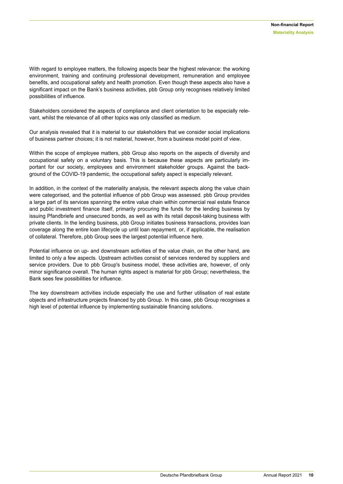With regard to employee matters, the following aspects bear the highest relevance: the working environment, training and continuing professional development, remuneration and employee benefits, and occupational safety and health promotion. Even though these aspects also have a significant impact on the Bank's business activities, pbb Group only recognises relatively limited possibilities of influence.

Stakeholders considered the aspects of compliance and client orientation to be especially relevant, whilst the relevance of all other topics was only classified as medium.

Our analysis revealed that it is material to our stakeholders that we consider social implications of business partner choices; it is not material, however, from a business model point of view.

Within the scope of employee matters, pbb Group also reports on the aspects of diversity and occupational safety on a voluntary basis. This is because these aspects are particularly important for our society, employees and environment stakeholder groups. Against the background of the COVID-19 pandemic, the occupational safety aspect is especially relevant.

In addition, in the context of the materiality analysis, the relevant aspects along the value chain were categorised, and the potential influence of pbb Group was assessed. pbb Group provides a large part of its services spanning the entire value chain within commercial real estate finance and public investment finance itself, primarily procuring the funds for the lending business by issuing Pfandbriefe and unsecured bonds, as well as with its retail deposit-taking business with private clients. In the lending business, pbb Group initiates business transactions, provides loan coverage along the entire loan lifecycle up until loan repayment, or, if applicable, the realisation of collateral. Therefore, pbb Group sees the largest potential influence here.

Potential influence on up- and downstream activities of the value chain, on the other hand, are limited to only a few aspects. Upstream activities consist of services rendered by suppliers and service providers. Due to pbb Group's business model, these activities are, however, of only minor significance overall. The human rights aspect is material for pbb Group; nevertheless, the Bank sees few possibilities for influence.

<span id="page-9-0"></span>The key downstream activities include especially the use and further utilisation of real estate objects and infrastructure projects financed by pbb Group. In this case, pbb Group recognises a high level of potential influence by implementing sustainable financing solutions.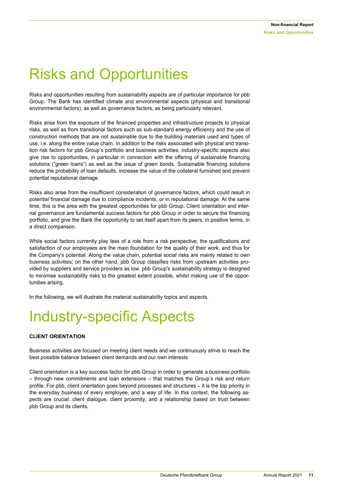### Risks and Opportunities

Risks and opportunities resulting from sustainability aspects are of particular importance for pbb Group. The Bank has identified climate and environmental aspects (physical and transitional environmental factors), as well as governance factors, as being particularly relevant.

Risks arise from the exposure of the financed properties and infrastructure projects to physical risks, as well as from transitional factors such as sub-standard energy efficiency and the use of construction methods that are not sustainable due to the building materials used and types of use, i.e. along the entire value chain. In addition to the risks associated with physical and transition risk factors for pbb Group's portfolio and business activities, industry-specific aspects also give rise to opportunities, in particular in connection with the offering of sustainable financing solutions ("green loans") as well as the issue of green bonds. Sustainable financing solutions reduce the probability of loan defaults, increase the value of the collateral furnished and prevent potential reputational damage.

Risks also arise from the insufficient consideration of governance factors, which could result in potential financial damage due to compliance incidents, or in reputational damage. At the same time, this is the area with the greatest opportunities for pbb Group. Client orientation and internal governance are fundamental success factors for pbb Group in order to secure the financing portfolio, and give the Bank the opportunity to set itself apart from its peers, in positive terms, in a direct comparison.

While social factors currently play less of a role from a risk perspective, the qualifications and satisfaction of our employees are the main foundation for the quality of their work, and thus for the Company's potential. Along the value chain, potential social risks are mainly related to own business activities; on the other hand, pbb Group classifies risks from upstream activities provided by suppliers and service providers as low. pbb Group's sustainability strategy is designed to minimise sustainability risks to the greatest extent possible, whilst making use of the opportunities arising.

In the following, we will illustrate the material sustainability topics and aspects.

### <span id="page-10-0"></span>Industry-specific Aspects

#### **CLIENT ORIENTATION**

Business activities are focused on meeting client needs and we continuously strive to reach the best possible balance between client demands and our own interests.

Client orientation is a key success factor for pbb Group in order to generate a business portfolio – through new commitments and loan extensions – that matches the Group's risk and return profile. For pbb, client orientation goes beyond processes and structures – it is the top priority in the everyday business of every employee, and a way of life. In this context, the following aspects are crucial: client dialogue, client proximity, and a relationship based on trust between pbb Group and its clients.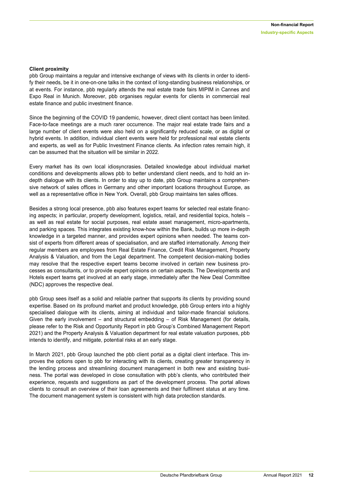#### **Client proximity**

pbb Group maintains a regular and intensive exchange of views with its clients in order to identify their needs, be it in one-on-one talks in the context of long-standing business relationships, or at events. For instance, pbb regularly attends the real estate trade fairs MIPIM in Cannes and Expo Real in Munich. Moreover, pbb organises regular events for clients in commercial real estate finance and public investment finance.

Since the beginning of the COVID 19 pandemic, however, direct client contact has been limited. Face-to-face meetings are a much rarer occurrence. The major real estate trade fairs and a large number of client events were also held on a significantly reduced scale, or as digital or hybrid events. In addition, individual client events were held for professional real estate clients and experts, as well as for Public Investment Finance clients. As infection rates remain high, it can be assumed that the situation will be similar in 2022.

Every market has its own local idiosyncrasies. Detailed knowledge about individual market conditions and developments allows pbb to better understand client needs, and to hold an indepth dialogue with its clients. In order to stay up to date, pbb Group maintains a comprehensive network of sales offices in Germany and other important locations throughout Europe, as well as a representative office in New York. Overall, pbb Group maintains ten sales offices.

Besides a strong local presence, pbb also features expert teams for selected real estate financing aspects; in particular, property development, logistics, retail, and residential topics, hotels – as well as real estate for social purposes, real estate asset management, micro-apartments, and parking spaces. This integrates existing know-how within the Bank, builds up more in-depth knowledge in a targeted manner, and provides expert opinions when needed. The teams consist of experts from different areas of specialisation, and are staffed internationally. Among their regular members are employees from Real Estate Finance, Credit Risk Management, Property Analysis & Valuation, and from the Legal department. The competent decision-making bodies may resolve that the respective expert teams become involved in certain new business processes as consultants, or to provide expert opinions on certain aspects. The Developments and Hotels expert teams get involved at an early stage, immediately after the New Deal Committee (NDC) approves the respective deal.

pbb Group sees itself as a solid and reliable partner that supports its clients by providing sound expertise. Based on its profound market and product knowledge, pbb Group enters into a highly specialised dialogue with its clients, aiming at individual and tailor-made financial solutions. Given the early involvement – and structural embedding – of Risk Management (for details, please refer to the Risk and Opportunity Report in pbb Group's Combined Management Report 2021) and the Property Analysis & Valuation department for real estate valuation purposes, pbb intends to identify, and mitigate, potential risks at an early stage.

In March 2021, pbb Group launched the pbb client portal as a digital client interface. This improves the options open to pbb for interacting with its clients, creating greater transparency in the lending process and streamlining document management in both new and existing business. The portal was developed in close consultation with pbb's clients, who contributed their experience, requests and suggestions as part of the development process. The portal allows clients to consult an overview of their loan agreements and their fulfilment status at any time. The document management system is consistent with high data protection standards.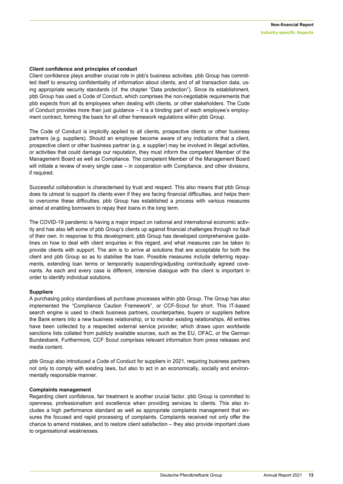#### **Client confidence and principles of conduct**

Client confidence plays another crucial role in pbb's business activities. pbb Group has committed itself to ensuring confidentiality of information about clients, and of all transaction data, using appropriate security standards (cf. the chapter "Data protection"). Since its establishment, pbb Group has used a Code of Conduct, which comprises the non-negotiable requirements that pbb expects from all its employees when dealing with clients, or other stakeholders. The Code of Conduct provides more than just guidance – it is a binding part of each employee's employment contract, forming the basis for all other framework regulations within pbb Group.

The Code of Conduct is implicitly applied to all clients, prospective clients or other business partners (e.g. suppliers). Should an employee become aware of any indications that a client, prospective client or other business partner (e.g. a supplier) may be involved in illegal activities, or activities that could damage our reputation, they must inform the competent Member of the Management Board as well as Compliance. The competent Member of the Management Board will initiate a review of every single case – in cooperation with Compliance, and other divisions, if required.

Successful collaboration is characterised by trust and respect. This also means that pbb Group does its utmost to support its clients even if they are facing financial difficulties, and helps them to overcome these difficulties. pbb Group has established a process with various measures aimed at enabling borrowers to repay their loans in the long term.

The COVID-19 pandemic is having a major impact on national and international economic activity and has also left some of pbb Group's clients up against financial challenges through no fault of their own. In response to this development, pbb Group has developed comprehensive guidelines on how to deal with client enquiries in this regard, and what measures can be taken to provide clients with support. The aim is to arrive at solutions that are acceptable for both the client and pbb Group so as to stabilise the loan. Possible measures include deferring repayments, extending loan terms or temporarily suspending/adjusting contractually agreed covenants. As each and every case is different, intensive dialogue with the client is important in order to identify individual solutions.

#### **Suppliers**

A purchasing policy standardises all purchase processes within pbb Group. The Group has also implemented the "Compliance Caution Framework", or CCF-Scout for short. This IT-based search engine is used to check business partners, counterparties, buyers or suppliers before the Bank enters into a new business relationship, or to monitor existing relationships. All entries have been collected by a respected external service provider, which draws upon worldwide sanctions lists collated from publicly available sources, such as the EU, OFAC, or the German Bundesbank. Furthermore, CCF Scout comprises relevant information from press releases and media content.

pbb Group also introduced a Code of Conduct for suppliers in 2021, requiring business partners not only to comply with existing laws, but also to act in an economically, socially and environmentally responsible manner.

#### **Complaints management**

Regarding client confidence, fair treatment is another crucial factor. pbb Group is committed to openness, professionalism and excellence when providing services to clients. This also includes a high performance standard as well as appropriate complaints management that ensures the focused and rapid processing of complaints. Complaints received not only offer the chance to amend mistakes, and to restore client satisfaction – they also provide important clues to organisational weaknesses.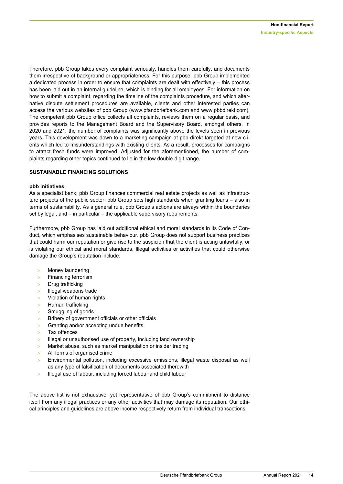Therefore, pbb Group takes every complaint seriously, handles them carefully, and documents them irrespective of background or appropriateness. For this purpose, pbb Group implemented a dedicated process in order to ensure that complaints are dealt with effectively – this process has been laid out in an internal guideline, which is binding for all employees. For information on how to submit a complaint, regarding the timeline of the complaints procedure, and which alternative dispute settlement procedures are available, clients and other interested parties can access the various websites of pbb Group [\(www.pfandbriefbank.com](http://www.pfandbriefbank.com/) and www.pbbdirekt.com). The competent pbb Group office collects all complaints, reviews them on a regular basis, and provides reports to the Management Board and the Supervisory Board, amongst others. In 2020 and 2021, the number of complaints was significantly above the levels seen in previous years. This development was down to a marketing campaign at pbb direkt targeted at new clients which led to misunderstandings with existing clients. As a result, processes for campaigns to attract fresh funds were improved. Adjusted for the aforementioned, the number of complaints regarding other topics continued to lie in the low double-digit range.

#### **SUSTAINABLE FINANCING SOLUTIONS**

#### **pbb initiatives**

As a specialist bank, pbb Group finances commercial real estate projects as well as infrastructure projects of the public sector. pbb Group sets high standards when granting loans – also in terms of sustainability. As a general rule, pbb Group's actions are always within the boundaries set by legal, and – in particular – the applicable supervisory requirements.

Furthermore, pbb Group has laid out additional ethical and moral standards in its Code of Conduct, which emphasises sustainable behaviour. pbb Group does not support business practices that could harm our reputation or give rise to the suspicion that the client is acting unlawfully, or is violating our ethical and moral standards. Illegal activities or activities that could otherwise damage the Group's reputation include:

- > Money laundering
- Financing terrorism
- $>$  Drug trafficking
- $>$  Illegal weapons trade
- > Violation of human rights
- > Human trafficking
- $>$  Smuggling of goods
- Bribery of government officials or other officials
- > Granting and/or accepting undue benefits
- Tax offences
- $>$  Illegal or unauthorised use of property, including land ownership
- > Market abuse, such as market manipulation or insider trading
- All forms of organised crime
- $>$  Environmental pollution, including excessive emissions, illegal waste disposal as well as any type of falsification of documents associated therewith
- > Illegal use of labour, including forced labour and child labour

The above list is not exhaustive, yet representative of pbb Group's commitment to distance itself from any illegal practices or any other activities that may damage its reputation. Our ethical principles and guidelines are above income respectively return from individual transactions.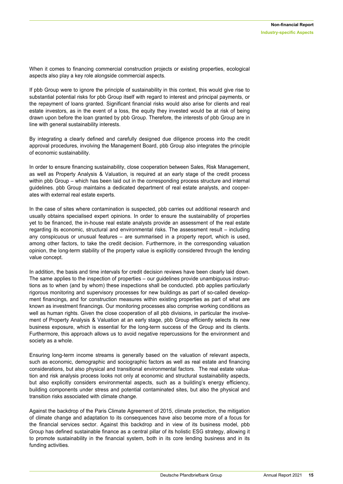When it comes to financing commercial construction projects or existing properties, ecological aspects also play a key role alongside commercial aspects.

If pbb Group were to ignore the principle of sustainability in this context, this would give rise to substantial potential risks for pbb Group itself with regard to interest and principal payments, or the repayment of loans granted. Significant financial risks would also arise for clients and real estate investors, as in the event of a loss, the equity they invested would be at risk of being drawn upon before the loan granted by pbb Group. Therefore, the interests of pbb Group are in line with general sustainability interests.

By integrating a clearly defined and carefully designed due diligence process into the credit approval procedures, involving the Management Board, pbb Group also integrates the principle of economic sustainability.

In order to ensure financing sustainability, close cooperation between Sales, Risk Management, as well as Property Analysis & Valuation, is required at an early stage of the credit process within pbb Group – which has been laid out in the corresponding process structure and internal guidelines. pbb Group maintains a dedicated department of real estate analysts, and cooperates with external real estate experts.

In the case of sites where contamination is suspected, pbb carries out additional research and usually obtains specialised expert opinions. In order to ensure the sustainability of properties yet to be financed, the in-house real estate analysts provide an assessment of the real estate regarding its economic, structural and environmental risks. The assessment result – including any conspicuous or unusual features – are summarised in a property report, which is used, among other factors, to take the credit decision. Furthermore, in the corresponding valuation opinion, the long-term stability of the property value is explicitly considered through the lending value concept.

In addition, the basis and time intervals for credit decision reviews have been clearly laid down. The same applies to the inspection of properties – our guidelines provide unambiguous instructions as to when (and by whom) these inspections shall be conducted. pbb applies particularly rigorous monitoring and supervisory processes for new buildings as part of so-called development financings, and for construction measures within existing properties as part of what are known as investment financings. Our monitoring processes also comprise working conditions as well as human rights. Given the close cooperation of all pbb divisions, in particular the involvement of Property Analysis & Valuation at an early stage, pbb Group efficiently selects its new business exposure, which is essential for the long-term success of the Group and its clients. Furthermore, this approach allows us to avoid negative repercussions for the environment and society as a whole.

Ensuring long-term income streams is generally based on the valuation of relevant aspects, such as economic, demographic and sociographic factors as well as real estate and financing considerations, but also physical and transitional environmental factors. The real estate valuation and risk analysis process looks not only at economic and structural sustainability aspects, but also explicitly considers environmental aspects, such as a building's energy efficiency, building components under stress and potential contaminated sites, but also the physical and transition risks associated with climate change.

Against the backdrop of the Paris Climate Agreement of 2015, climate protection, the mitigation of climate change and adaptation to its consequences have also become more of a focus for the financial services sector. Against this backdrop and in view of its business model, pbb Group has defined sustainable finance as a central pillar of its holistic ESG strategy, allowing it to promote sustainability in the financial system, both in its core lending business and in its funding activities.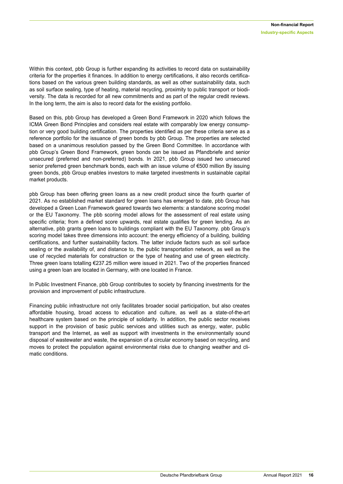Within this context, pbb Group is further expanding its activities to record data on sustainability criteria for the properties it finances. In addition to energy certifications, it also records certifications based on the various green building standards, as well as other sustainability data, such as soil surface sealing, type of heating, material recycling, proximity to public transport or biodiversity. The data is recorded for all new commitments and as part of the regular credit reviews. In the long term, the aim is also to record data for the existing portfolio.

Based on this, pbb Group has developed a Green Bond Framework in 2020 which follows the ICMA Green Bond Principles and considers real estate with comparably low energy consumption or very good building certification. The properties identified as per these criteria serve as a reference portfolio for the issuance of green bonds by pbb Group. The properties are selected based on a unanimous resolution passed by the Green Bond Committee. In accordance with pbb Group's Green Bond Framework, green bonds can be issued as Pfandbriefe and senior unsecured (preferred and non-preferred) bonds. In 2021, pbb Group issued two unsecured senior preferred green benchmark bonds, each with an issue volume of €500 million By issuing green bonds, pbb Group enables investors to make targeted investments in sustainable capital market products.

pbb Group has been offering green loans as a new credit product since the fourth quarter of 2021. As no established market standard for green loans has emerged to date, pbb Group has developed a Green Loan Framework geared towards two elements: a standalone scoring model or the EU Taxonomy. The pbb scoring model allows for the assessment of real estate using specific criteria; from a defined score upwards, real estate qualifies for green lending. As an alternative, pbb grants green loans to buildings compliant with the EU Taxonomy. pbb Group's scoring model takes three dimensions into account: the energy efficiency of a building, building certifications, and further sustainability factors. The latter include factors such as soil surface sealing or the availability of, and distance to, the public transportation network, as well as the use of recycled materials for construction or the type of heating and use of green electricity. Three green loans totalling €237.25 million were issued in 2021. Two of the properties financed using a green loan are located in Germany, with one located in France.

In Public Investment Finance, pbb Group contributes to society by financing investments for the provision and improvement of public infrastructure.

Financing public infrastructure not only facilitates broader social participation, but also creates affordable housing, broad access to education and culture, as well as a state-of-the-art healthcare system based on the principle of solidarity. In addition, the public sector receives support in the provision of basic public services and utilities such as energy, water, public transport and the Internet, as well as support with investments in the environmentally sound disposal of wastewater and waste, the expansion of a circular economy based on recycling, and moves to protect the population against environmental risks due to changing weather and climatic conditions.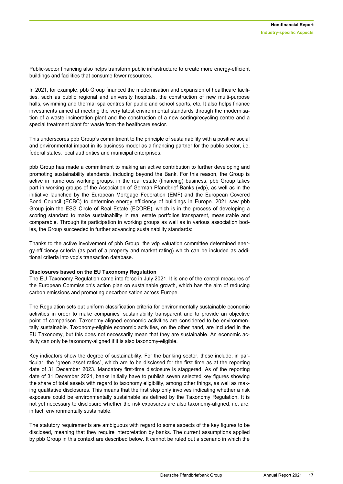Public-sector financing also helps transform public infrastructure to create more energy-efficient buildings and facilities that consume fewer resources.

In 2021, for example, pbb Group financed the modernisation and expansion of healthcare facilities, such as public regional and university hospitals, the construction of new multi-purpose halls, swimming and thermal spa centres for public and school sports, etc. It also helps finance investments aimed at meeting the very latest environmental standards through the modernisation of a waste incineration plant and the construction of a new sorting/recycling centre and a special treatment plant for waste from the healthcare sector.

This underscores pbb Group's commitment to the principle of sustainability with a positive social and environmental impact in its business model as a financing partner for the public sector, i.e. federal states, local authorities and municipal enterprises.

pbb Group has made a commitment to making an active contribution to further developing and promoting sustainability standards, including beyond the Bank. For this reason, the Group is active in numerous working groups: in the real estate (financing) business, pbb Group takes part in working groups of the Association of German Pfandbrief Banks (vdp), as well as in the initiative launched by the European Mortgage Federation (EMF) and the European Covered Bond Council (ECBC) to determine energy efficiency of buildings in Europe. 2021 saw pbb Group join the ESG Circle of Real Estate (ECORE), which is in the process of developing a scoring standard to make sustainability in real estate portfolios transparent, measurable and comparable. Through its participation in working groups as well as in various association bodies, the Group succeeded in further advancing sustainability standards:

Thanks to the active involvement of pbb Group, the vdp valuation committee determined energy-efficiency criteria (as part of a property and market rating) which can be included as additional criteria into vdp's transaction database.

#### **Disclosures based on the EU Taxonomy Regulation**

The EU Taxonomy Regulation came into force in July 2021. It is one of the central measures of the European Commission's action plan on sustainable growth, which has the aim of reducing carbon emissions and promoting decarbonisation across Europe.

The Regulation sets out uniform classification criteria for environmentally sustainable economic activities in order to make companies' sustainability transparent and to provide an objective point of comparison. Taxonomy-aligned economic activities are considered to be environmentally sustainable. Taxonomy-eligible economic activities, on the other hand, are included in the EU Taxonomy, but this does not necessarily mean that they are sustainable. An economic activity can only be taxonomy-aligned if it is also taxonomy-eligible.

Key indicators show the degree of sustainability. For the banking sector, these include, in particular, the "green asset ratios", which are to be disclosed for the first time as at the reporting date of 31 December 2023. Mandatory first-time disclosure is staggered. As of the reporting date of 31 December 2021, banks initially have to publish seven selected key figures showing the share of total assets with regard to taxonomy eligibility, among other things, as well as making qualitative disclosures. This means that the first step only involves indicating whether a risk exposure could be environmentally sustainable as defined by the Taxonomy Regulation. It is not yet necessary to disclosure whether the risk exposures are also taxonomy-aligned, i.e. are, in fact, environmentally sustainable.

The statutory requirements are ambiguous with regard to some aspects of the key figures to be disclosed, meaning that they require interpretation by banks. The current assumptions applied by pbb Group in this context are described below. It cannot be ruled out a scenario in which the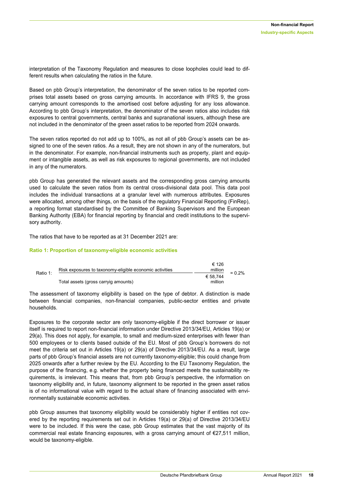interpretation of the Taxonomy Regulation and measures to close loopholes could lead to different results when calculating the ratios in the future.

Based on pbb Group's interpretation, the denominator of the seven ratios to be reported comprises total assets based on gross carrying amounts. In accordance with IFRS 9, the gross carrying amount corresponds to the amortised cost before adjusting for any loss allowance. According to pbb Group's interpretation, the denominator of the seven ratios also includes risk exposures to central governments, central banks and supranational issuers, although these are not included in the denominator of the green asset ratios to be reported from 2024 onwards.

The seven ratios reported do not add up to 100%, as not all of pbb Group's assets can be assigned to one of the seven ratios. As a result, they are not shown in any of the numerators, but in the denominator. For example, non-financial instruments such as property, plant and equipment or intangible assets, as well as risk exposures to regional governments, are not included in any of the numerators.

pbb Group has generated the relevant assets and the corresponding gross carrying amounts used to calculate the seven ratios from its central cross-divisional data pool. This data pool includes the individual transactions at a granular level with numerous attributes. Exposures were allocated, among other things, on the basis of the regulatory Financial Reporting (FinRep), a reporting format standardised by the Committee of Banking Supervisors and the European Banking Authority (EBA) for financial reporting by financial and credit institutions to the supervisory authority.

The ratios that have to be reported as at 31 December 2021 are:

#### **Ratio 1: Proportion of taxonomy-eligible economic activities**

|          | Risk exposures to taxonomy-eligible economic activities | € 126<br>million |           |
|----------|---------------------------------------------------------|------------------|-----------|
| Ratio 1: |                                                         | € 58.744         | $= 0.2\%$ |
|          | Total assets (gross carryig amounts)                    | million          |           |

The assessment of taxonomy eligibility is based on the type of debtor. A distinction is made between financial companies, non-financial companies, public-sector entities and private households.

Exposures to the corporate sector are only taxonomy-eligible if the direct borrower or issuer itself is required to report non-financial information under Directive 2013/34/EU, Articles 19(a) or 29(a). This does not apply, for example, to small and medium-sized enterprises with fewer than 500 employees or to clients based outside of the EU. Most of pbb Group's borrowers do not meet the criteria set out in Articles 19(a) or 29(a) of Directive 2013/34/EU. As a result, large parts of pbb Group's financial assets are not currently taxonomy-eligible; this could change from 2025 onwards after a further review by the EU. According to the EU Taxonomy Regulation, the purpose of the financing, e.g. whether the property being financed meets the sustainability requirements, is irrelevant. This means that, from pbb Group's perspective, the information on taxonomy eligibility and, in future, taxonomy alignment to be reported in the green asset ratios is of no informational value with regard to the actual share of financing associated with environmentally sustainable economic activities.

pbb Group assumes that taxonomy eligibility would be considerably higher if entities not covered by the reporting requirements set out in Articles 19(a) or 29(a) of Directive 2013/34/EU were to be included. If this were the case, pbb Group estimates that the vast majority of its commercial real estate financing exposures, with a gross carrying amount of  $\epsilon$ 27,511 million, would be taxonomy-eligible.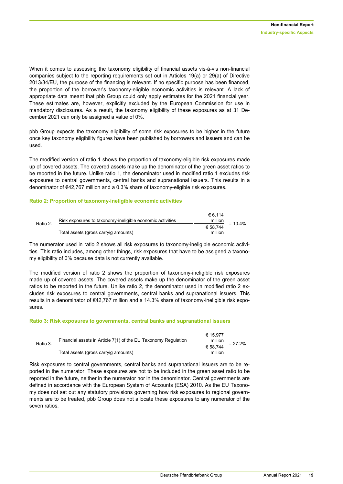When it comes to assessing the taxonomy eligibility of financial assets vis-à-vis non-financial companies subject to the reporting requirements set out in Articles 19(a) or 29(a) of Directive 2013/34/EU, the purpose of the financing is relevant. If no specific purpose has been financed, the proportion of the borrower's taxonomy-eligible economic activities is relevant. A lack of appropriate data meant that pbb Group could only apply estimates for the 2021 financial year. These estimates are, however, explicitly excluded by the European Commission for use in mandatory disclosures. As a result, the taxonomy eligibility of these exposures as at 31 December 2021 can only be assigned a value of 0%.

pbb Group expects the taxonomy eligibility of some risk exposures to be higher in the future once key taxonomy eligibility figures have been published by borrowers and issuers and can be used.

The modified version of ratio 1 shows the proportion of taxonomy-eligible risk exposures made up of covered assets. The covered assets make up the denominator of the green asset ratios to be reported in the future. Unlike ratio 1, the denominator used in modified ratio 1 excludes risk exposures to central governments, central banks and supranational issuers. This results in a denominator of €42,767 million and a 0.3% share of taxonomy-eligible risk exposures.

#### **Ratio 2: Proportion of taxonomy-ineligible economic activities**

|          |                                                           | € 6.114  |            |
|----------|-----------------------------------------------------------|----------|------------|
| Ratio 2: | Risk exposures to taxonomy-ineligible economic activities | million  | $= 10.4\%$ |
|          |                                                           | € 58.744 |            |
|          | Total assets (gross carryig amounts)                      | million  |            |

The numerator used in ratio 2 shows all risk exposures to taxonomy-ineligible economic activities. This ratio includes, among other things, risk exposures that have to be assigned a taxonomy eligibility of 0% because data is not currently available.

The modified version of ratio 2 shows the proportion of taxonomy-ineligible risk exposures made up of covered assets. The covered assets make up the denominator of the green asset ratios to be reported in the future. Unlike ratio 2, the denominator used in modified ratio 2 excludes risk exposures to central governments, central banks and supranational issuers. This results in a denominator of €42,767 million and a 14.3% share of taxonomy-ineligible risk exposures.

#### **Ratio 3: Risk exposures to governments, central banks and supranational issuers**

|          | Financial assets in Article 7(1) of the EU Taxonomy Regulation | € 15.977<br>million |           |
|----------|----------------------------------------------------------------|---------------------|-----------|
| Ratio 3: | Total assets (gross carryig amounts)                           | € 58.744<br>million | $= 27.2%$ |

Risk exposures to central governments, central banks and supranational issuers are to be reported in the numerator. These exposures are not to be included in the green asset ratio to be reported in the future, neither in the numerator nor in the denominator. Central governments are defined in accordance with the European System of Accounts (ESA) 2010. As the EU Taxonomy does not set out any statutory provisions governing how risk exposures to regional governments are to be treated, pbb Group does not allocate these exposures to any numerator of the seven ratios.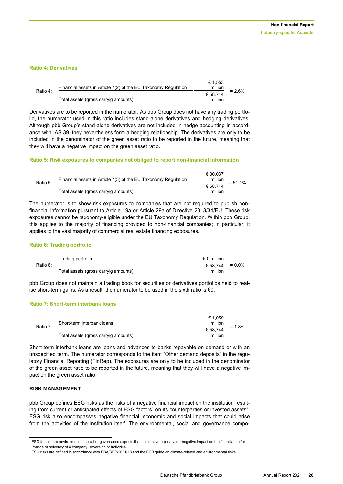#### **Ratio 4: Derivatives**

| Ratio 4: | Financial assets in Article 7(2) of the EU Taxonomy Regulation | € 1.553<br>million  | $= 2.6\%$ |
|----------|----------------------------------------------------------------|---------------------|-----------|
|          | Total assets (gross carryig amounts)                           | € 58.744<br>million |           |

Derivatives are to be reported in the numerator. As pbb Group does not have any trading portfolio, the numerator used in this ratio includes stand-alone derivatives and hedging derivatives. Although pbb Group's stand-alone derivatives are not included in hedge accounting in accordance with IAS 39, they nevertheless form a hedging relationship. The derivatives are only to be included in the denominator of the green asset ratio to be reported in the future, meaning that they will have a negative impact on the green asset ratio.

#### **Ratio 5: Risk exposures to companies not obliged to report non-financial information**

|          | Financial assets in Article 7(3) of the EU Taxonomy Regulation | € 30.037<br>million | $= 51.1\%$ |
|----------|----------------------------------------------------------------|---------------------|------------|
| Ratio 5: | Total assets (gross carryig amounts)                           | € 58.744<br>million |            |

The numerator is to show risk exposures to companies that are not required to publish nonfinancial information pursuant to Article 19a or Article 29a of Directive 2013/34/EU. These risk exposures cannot be taxonomy-eligible under the EU Taxonomy Regulation. Within pbb Group, this applies to the majority of financing provided to non-financial companies; in particular, it applies to the vast majority of commercial real estate financing exposures.

#### **Ratio 6: Trading portfolio**

|          | Trading portfolio                    | $\epsilon$ 0 million     |  |
|----------|--------------------------------------|--------------------------|--|
| Ratio 6: |                                      | $\epsilon$ 58.744 = 0.0% |  |
|          | Total assets (gross carryig amounts) | million                  |  |

pbb Group does not maintain a trading book for securities or derivatives portfolios held to realise short-term gains. As a result, the numerator to be used in the sixth ratio is  $\epsilon$ 0.

#### **Ratio 7: Short-term interbank loans**

|          |                                      | € 1.059  |          |
|----------|--------------------------------------|----------|----------|
| Ratio 7: | Short-term interbank loans           | million  |          |
|          |                                      | € 58.744 | $= 1.8%$ |
|          | Total assets (gross carryig amounts) | million  |          |

Short-term interbank loans are loans and advances to banks repayable on demand or with an unspecified term. The numerator corresponds to the item "Other demand deposits" in the regulatory Financial Reporting (FinRep). The exposures are only to be included in the denominator of the green asset ratio to be reported in the future, meaning that they will have a negative impact on the green asset ratio.

#### **RISK MANAGEMENT**

-

pbb Group defines ESG risks as the risks of a negative financial impact on the institution resulting from current or anticipated effects of ESG factors<sup>1</sup> on its counterparties or invested assets<sup>2</sup>. ESG risk also encompasses negative financial, economic and social impacts that could arise from the activities of the institution itself. The environmental, social and governance compo-

<sup>1</sup> ESG factors are environmental, social or governance aspects that could have a positive or negative impact on the financial performance or solvency of a company, sovereign or individual.

<sup>&</sup>lt;sup>2</sup> ESG risks are defined in accordance with EBA/REP/2021/18 and the ECB guide on climate-related and environmental risks.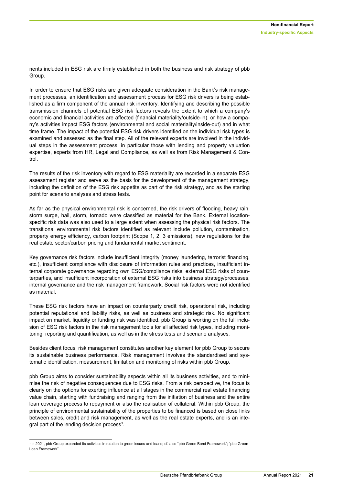nents included in ESG risk are firmly established in both the business and risk strategy of pbb Group.

In order to ensure that ESG risks are given adequate consideration in the Bank's risk management processes, an identification and assessment process for ESG risk drivers is being established as a firm component of the annual risk inventory. Identifying and describing the possible transmission channels of potential ESG risk factors reveals the extent to which a company's economic and financial activities are affected (financial materiality/outside-in), or how a company's activities impact ESG factors (environmental and social materiality/inside-out) and in what time frame. The impact of the potential ESG risk drivers identified on the individual risk types is examined and assessed as the final step. All of the relevant experts are involved in the individual steps in the assessment process, in particular those with lending and property valuation expertise, experts from HR, Legal and Compliance, as well as from Risk Management & Control.

The results of the risk inventory with regard to ESG materiality are recorded in a separate ESG assessment register and serve as the basis for the development of the management strategy, including the definition of the ESG risk appetite as part of the risk strategy, and as the starting point for scenario analyses and stress tests.

As far as the physical environmental risk is concerned, the risk drivers of flooding, heavy rain, storm surge, hail, storm, tornado were classified as material for the Bank. External locationspecific risk data was also used to a large extent when assessing the physical risk factors. The transitional environmental risk factors identified as relevant include pollution, contamination, property energy efficiency, carbon footprint (Scope 1, 2, 3 emissions), new regulations for the real estate sector/carbon pricing and fundamental market sentiment.

Key governance risk factors include insufficient integrity (money laundering, terrorist financing, etc.), insufficient compliance with disclosure of information rules and practices, insufficient internal corporate governance regarding own ESG/compliance risks, external ESG risks of counterparties, and insufficient incorporation of external ESG risks into business strategy/processes, internal governance and the risk management framework. Social risk factors were not identified as material.

These ESG risk factors have an impact on counterparty credit risk, operational risk, including potential reputational and liability risks, as well as business and strategic risk. No significant impact on market, liquidity or funding risk was identified. pbb Group is working on the full inclusion of ESG risk factors in the risk management tools for all affected risk types, including monitoring, reporting and quantification, as well as in the stress tests and scenario analyses.

Besides client focus, risk management constitutes another key element for pbb Group to secure its sustainable business performance. Risk management involves the standardised and systematic identification, measurement, limitation and monitoring of risks within pbb Group.

pbb Group aims to consider sustainability aspects within all its business activities, and to minimise the risk of negative consequences due to ESG risks. From a risk perspective, the focus is clearly on the options for exerting influence at all stages in the commercial real estate financing value chain, starting with fundraising and ranging from the initiation of business and the entire loan coverage process to repayment or also the realisation of collateral. Within pbb Group, the principle of environmental sustainability of the properties to be financed is based on close links between sales, credit and risk management, as well as the real estate experts, and is an integral part of the lending decision process<sup>3</sup>.

-

<sup>3</sup> In 2021, pbb Group expanded its activities in relation to green issues and loans; cf. also "pbb Green Bond Framework"; "pbb Green Loan Framework"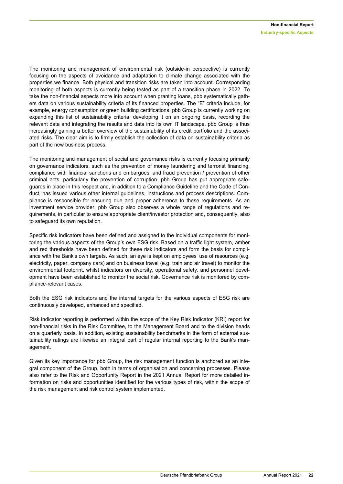The monitoring and management of environmental risk (outside-in perspective) is currently focusing on the aspects of avoidance and adaptation to climate change associated with the properties we finance. Both physical and transition risks are taken into account. Corresponding monitoring of both aspects is currently being tested as part of a transition phase in 2022. To take the non-financial aspects more into account when granting loans, pbb systematically gathers data on various sustainability criteria of its financed properties. The "E" criteria include, for example, energy consumption or green building certifications. pbb Group is currently working on expanding this list of sustainability criteria, developing it on an ongoing basis, recording the relevant data and integrating the results and data into its own IT landscape. pbb Group is thus increasingly gaining a better overview of the sustainability of its credit portfolio and the associated risks. The clear aim is to firmly establish the collection of data on sustainability criteria as part of the new business process.

The monitoring and management of social and governance risks is currently focusing primarily on governance indicators, such as the prevention of money laundering and terrorist financing, compliance with financial sanctions and embargoes, and fraud prevention / prevention of other criminal acts, particularly the prevention of corruption. pbb Group has put appropriate safeguards in place in this respect and, in addition to a Compliance Guideline and the Code of Conduct, has issued various other internal guidelines, instructions and process descriptions. Compliance is responsible for ensuring due and proper adherence to these requirements. As an investment service provider, pbb Group also observes a whole range of regulations and requirements, in particular to ensure appropriate client/investor protection and, consequently, also to safeguard its own reputation.

Specific risk indicators have been defined and assigned to the individual components for monitoring the various aspects of the Group's own ESG risk. Based on a traffic light system, amber and red thresholds have been defined for these risk indicators and form the basis for compliance with the Bank's own targets. As such, an eye is kept on employees' use of resources (e.g. electricity, paper, company cars) and on business travel (e.g. train and air travel) to monitor the environmental footprint, whilst indicators on diversity, operational safety, and personnel development have been established to monitor the social risk. Governance risk is monitored by compliance-relevant cases.

Both the ESG risk indicators and the internal targets for the various aspects of ESG risk are continuously developed, enhanced and specified.

Risk indicator reporting is performed within the scope of the Key Risk Indicator (KRI) report for non-financial risks in the Risk Committee, to the Management Board and to the division heads on a quarterly basis. In addition, existing sustainability benchmarks in the form of external sustainability ratings are likewise an integral part of regular internal reporting to the Bank's management.

Given its key importance for pbb Group, the risk management function is anchored as an integral component of the Group, both in terms of organisation and concerning processes. Please also refer to the Risk and Opportunity Report in the 2021 Annual Report for more detailed information on risks and opportunities identified for the various types of risk, within the scope of the risk management and risk control system implemented.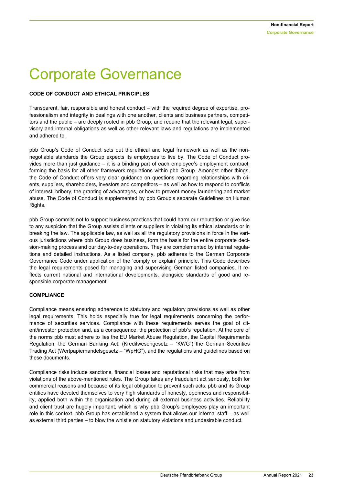### <span id="page-22-0"></span>Corporate Governance

#### **CODE OF CONDUCT AND ETHICAL PRINCIPLES**

Transparent, fair, responsible and honest conduct – with the required degree of expertise, professionalism and integrity in dealings with one another, clients and business partners, competitors and the public – are deeply rooted in pbb Group, and require that the relevant legal, supervisory and internal obligations as well as other relevant laws and regulations are implemented and adhered to.

pbb Group's Code of Conduct sets out the ethical and legal framework as well as the nonnegotiable standards the Group expects its employees to live by. The Code of Conduct provides more than just guidance – it is a binding part of each employee's employment contract, forming the basis for all other framework regulations within pbb Group. Amongst other things, the Code of Conduct offers very clear guidance on questions regarding relationships with clients, suppliers, shareholders, investors and competitors – as well as how to respond to conflicts of interest, bribery, the granting of advantages, or how to prevent money laundering and market abuse. The Code of Conduct is supplemented by pbb Group's separate Guidelines on Human Rights.

pbb Group commits not to support business practices that could harm our reputation or give rise to any suspicion that the Group assists clients or suppliers in violating its ethical standards or in breaking the law. The applicable law, as well as all the regulatory provisions in force in the various jurisdictions where pbb Group does business, form the basis for the entire corporate decision-making process and our day-to-day operations. They are complemented by internal regulations and detailed instructions. As a listed company, pbb adheres to the German Corporate Governance Code under application of the 'comply or explain' principle. This Code describes the legal requirements posed for managing and supervising German listed companies. It reflects current national and international developments, alongside standards of good and responsible corporate management.

#### **COMPLIANCE**

Compliance means ensuring adherence to statutory and regulatory provisions as well as other legal requirements. This holds especially true for legal requirements concerning the performance of securities services. Compliance with these requirements serves the goal of client/investor protection and, as a consequence, the protection of pbb's reputation. At the core of the norms pbb must adhere to lies the EU Market Abuse Regulation, the Capital Requirements Regulation, the German Banking Act, (Kreditwesengesetz – "KWG") the German Securities Trading Act (Wertpapierhandelsgesetz – "WpHG"), and the regulations and guidelines based on these documents.

Compliance risks include sanctions, financial losses and reputational risks that may arise from violations of the above-mentioned rules. The Group takes any fraudulent act seriously, both for commercial reasons and because of its legal obligation to prevent such acts. pbb and its Group entities have devoted themselves to very high standards of honesty, openness and responsibility, applied both within the organisation and during all external business activities. Reliability and client trust are hugely important, which is why pbb Group's employees play an important role in this context. pbb Group has established a system that allows our internal staff – as well as external third parties – to blow the whistle on statutory violations and undesirable conduct.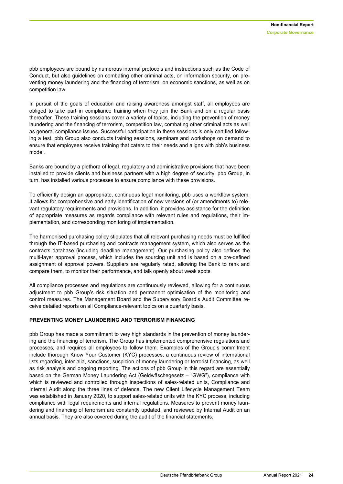pbb employees are bound by numerous internal protocols and instructions such as the Code of Conduct, but also guidelines on combating other criminal acts, on information security, on preventing money laundering and the financing of terrorism, on economic sanctions, as well as on competition law.

In pursuit of the goals of education and raising awareness amongst staff, all employees are obliged to take part in compliance training when they join the Bank and on a regular basis thereafter. These training sessions cover a variety of topics, including the prevention of money laundering and the financing of terrorism, competition law, combating other criminal acts as well as general compliance issues. Successful participation in these sessions is only certified following a test. pbb Group also conducts training sessions, seminars and workshops on demand to ensure that employees receive training that caters to their needs and aligns with pbb's business model.

Banks are bound by a plethora of legal, regulatory and administrative provisions that have been installed to provide clients and business partners with a high degree of security. pbb Group, in turn, has installed various processes to ensure compliance with these provisions.

To efficiently design an appropriate, continuous legal monitoring, pbb uses a workflow system. It allows for comprehensive and early identification of new versions of (or amendments to) relevant regulatory requirements and provisions. In addition, it provides assistance for the definition of appropriate measures as regards compliance with relevant rules and regulations, their implementation, and corresponding monitoring of implementation.

The harmonised purchasing policy stipulates that all relevant purchasing needs must be fulfilled through the IT-based purchasing and contracts management system, which also serves as the contracts database (including deadline management). Our purchasing policy also defines the multi-layer approval process, which includes the sourcing unit and is based on a pre-defined assignment of approval powers. Suppliers are regularly rated, allowing the Bank to rank and compare them, to monitor their performance, and talk openly about weak spots.

All compliance processes and regulations are continuously reviewed, allowing for a continuous adjustment to pbb Group's risk situation and permanent optimisation of the monitoring and control measures. The Management Board and the Supervisory Board's Audit Committee receive detailed reports on all Compliance-relevant topics on a quarterly basis.

#### **PREVENTING MONEY LAUNDERING AND TERRORISM FINANCING**

pbb Group has made a commitment to very high standards in the prevention of money laundering and the financing of terrorism. The Group has implemented comprehensive regulations and processes, and requires all employees to follow them. Examples of the Group's commitment include thorough Know Your Customer (KYC) processes, a continuous review of international lists regarding, inter alia, sanctions, suspicion of money laundering or terrorist financing, as well as risk analysis and ongoing reporting. The actions of pbb Group in this regard are essentially based on the German Money Laundering Act (Geldwäschegesetz – "GWG"), compliance with which is reviewed and controlled through inspections of sales-related units, Compliance and Internal Audit along the three lines of defence. The new Client Lifecycle Management Team was established in January 2020, to support sales-related units with the KYC process, including compliance with legal requirements and internal regulations. Measures to prevent money laundering and financing of terrorism are constantly updated, and reviewed by Internal Audit on an annual basis. They are also covered during the audit of the financial statements.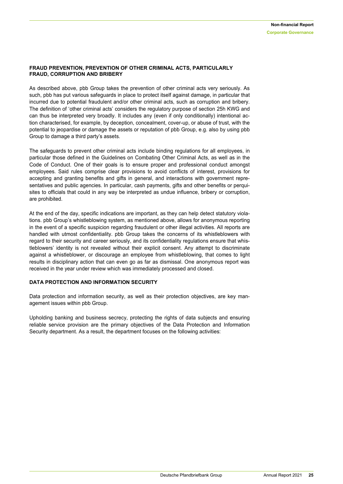#### **FRAUD PREVENTION, PREVENTION OF OTHER CRIMINAL ACTS, PARTICULARLY FRAUD, CORRUPTION AND BRIBERY**

As described above, pbb Group takes the prevention of other criminal acts very seriously. As such, pbb has put various safeguards in place to protect itself against damage, in particular that incurred due to potential fraudulent and/or other criminal acts, such as corruption and bribery. The definition of 'other criminal acts' considers the regulatory purpose of section 25h KWG and can thus be interpreted very broadly. It includes any (even if only conditionally) intentional action characterised, for example, by deception, concealment, cover-up, or abuse of trust, with the potential to jeopardise or damage the assets or reputation of pbb Group, e.g. also by using pbb Group to damage a third party's assets.

The safeguards to prevent other criminal acts include binding regulations for all employees, in particular those defined in the Guidelines on Combating Other Criminal Acts, as well as in the Code of Conduct. One of their goals is to ensure proper and professional conduct amongst employees. Said rules comprise clear provisions to avoid conflicts of interest, provisions for accepting and granting benefits and gifts in general, and interactions with government representatives and public agencies. In particular, cash payments, gifts and other benefits or perquisites to officials that could in any way be interpreted as undue influence, bribery or corruption, are prohibited.

At the end of the day, specific indications are important, as they can help detect statutory violations. pbb Group's whistleblowing system, as mentioned above, allows for anonymous reporting in the event of a specific suspicion regarding fraudulent or other illegal activities. All reports are handled with utmost confidentiality. pbb Group takes the concerns of its whistleblowers with regard to their security and career seriously, and its confidentiality regulations ensure that whistleblowers' identity is not revealed without their explicit consent. Any attempt to discriminate against a whistleblower, or discourage an employee from whistleblowing, that comes to light results in disciplinary action that can even go as far as dismissal. One anonymous report was received in the year under review which was immediately processed and closed.

#### **DATA PROTECTION AND INFORMATION SECURITY**

Data protection and information security, as well as their protection objectives, are key management issues within pbb Group.

Upholding banking and business secrecy, protecting the rights of data subjects and ensuring reliable service provision are the primary objectives of the Data Protection and Information Security department. As a result, the department focuses on the following activities: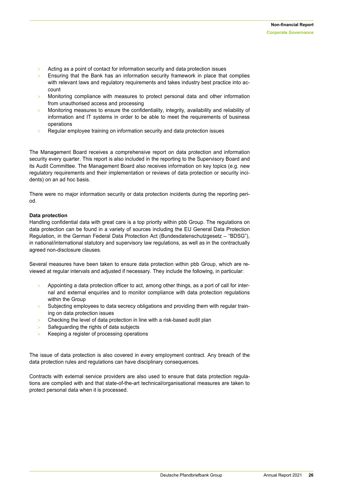- $>$  Acting as a point of contact for information security and data protection issues
- Ensuring that the Bank has an information security framework in place that complies with relevant laws and regulatory requirements and takes industry best practice into account
- Monitoring compliance with measures to protect personal data and other information from unauthorised access and processing
- > Monitoring measures to ensure the confidentiality, integrity, availability and reliability of information and IT systems in order to be able to meet the requirements of business operations
- Regular employee training on information security and data protection issues

The Management Board receives a comprehensive report on data protection and information security every quarter. This report is also included in the reporting to the Supervisory Board and its Audit Committee. The Management Board also receives information on key topics (e.g. new regulatory requirements and their implementation or reviews of data protection or security incidents) on an ad hoc basis.

There were no major information security or data protection incidents during the reporting period.

#### **Data protection**

Handling confidential data with great care is a top priority within pbb Group. The regulations on data protection can be found in a variety of sources including the EU General Data Protection Regulation, in the German Federal Data Protection Act (Bundesdatenschutzgesetz – "BDSG"), in national/international statutory and supervisory law regulations, as well as in the contractually agreed non-disclosure clauses.

Several measures have been taken to ensure data protection within pbb Group, which are reviewed at regular intervals and adjusted if necessary. They include the following, in particular:

- Appointing a data protection officer to act, among other things, as a port of call for internal and external enquiries and to monitor compliance with data protection regulations within the Group
- Subjecting employees to data secrecy obligations and providing them with regular training on data protection issues
- > Checking the level of data protection in line with a risk-based audit plan
- $>$  Safeguarding the rights of data subjects
- Keeping a register of processing operations

The issue of data protection is also covered in every employment contract. Any breach of the data protection rules and regulations can have disciplinary consequences.

Contracts with external service providers are also used to ensure that data protection regulations are complied with and that state-of-the-art technical/organisational measures are taken to protect personal data when it is processed.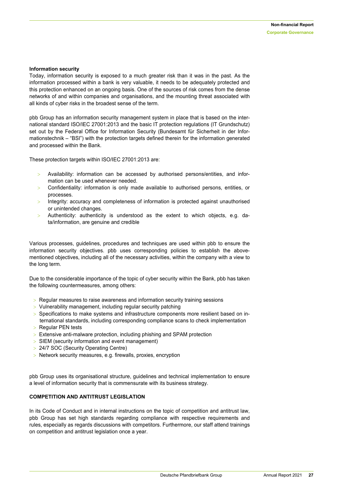#### **Information security**

Today, information security is exposed to a much greater risk than it was in the past. As the information processed within a bank is very valuable, it needs to be adequately protected and this protection enhanced on an ongoing basis. One of the sources of risk comes from the dense networks of and within companies and organisations, and the mounting threat associated with all kinds of cyber risks in the broadest sense of the term.

pbb Group has an information security management system in place that is based on the international standard ISO/IEC 27001:2013 and the basic IT protection regulations (IT Grundschutz) set out by the Federal Office for Information Security (Bundesamt für Sicherheit in der Informationstechnik – "BSI") with the protection targets defined therein for the information generated and processed within the Bank.

These protection targets within ISO/IEC 27001:2013 are:

- Availability: information can be accessed by authorised persons/entities, and information can be used whenever needed.
- Confidentiality: information is only made available to authorised persons, entities, or processes.
- Integrity: accuracy and completeness of information is protected against unauthorised or unintended changes.
- Authenticity: authenticity is understood as the extent to which objects, e.g. data/information, are genuine and credible

Various processes, guidelines, procedures and techniques are used within pbb to ensure the information security objectives. pbb uses corresponding policies to establish the abovementioned objectives, including all of the necessary activities, within the company with a view to the long term.

Due to the considerable importance of the topic of cyber security within the Bank, pbb has taken the following countermeasures, among others:

- $>$  Regular measures to raise awareness and information security training sessions
- > Vulnerability management, including regular security patching
- $>$  Specifications to make systems and infrastructure components more resilient based on international standards, including corresponding compliance scans to check implementation
- $>$  Regular PEN tests
- $>$  Extensive anti-malware protection, including phishing and SPAM protection
- SIEM (security information and event management)
- > 24/7 SOC (Security Operating Centre)
- > Network security measures, e.g. firewalls, proxies, encryption

pbb Group uses its organisational structure, guidelines and technical implementation to ensure a level of information security that is commensurate with its business strategy.

#### **COMPETITION AND ANTITRUST LEGISLATION**

In its Code of Conduct and in internal instructions on the topic of competition and antitrust law, pbb Group has set high standards regarding compliance with respective requirements and rules, especially as regards discussions with competitors. Furthermore, our staff attend trainings on competition and antitrust legislation once a year.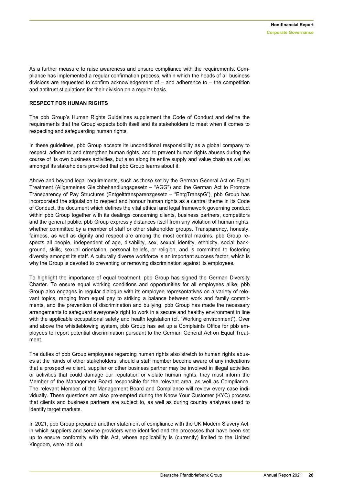As a further measure to raise awareness and ensure compliance with the requirements, Compliance has implemented a regular confirmation process, within which the heads of all business divisions are requested to confirm acknowledgement of  $-$  and adherence to  $-$  the competition and antitrust stipulations for their division on a regular basis.

#### **RESPECT FOR HUMAN RIGHTS**

The pbb Group's Human Rights Guidelines supplement the Code of Conduct and define the requirements that the Group expects both itself and its stakeholders to meet when it comes to respecting and safeguarding human rights.

In these guidelines, pbb Group accepts its unconditional responsibility as a global company to respect, adhere to and strengthen human rights, and to prevent human rights abuses during the course of its own business activities, but also along its entire supply and value chain as well as amongst its stakeholders provided that pbb Group learns about it.

Above and beyond legal requirements, such as those set by the German General Act on Equal Treatment (Allgemeines Gleichbehandlungsgesetz – "AGG") and the German Act to Promote Transparency of Pay Structures (Entgelttransparenzgesetz – "EntgTranspG"), pbb Group has incorporated the stipulation to respect and honour human rights as a central theme in its Code of Conduct, the document which defines the vital ethical and legal framework governing conduct within pbb Group together with its dealings concerning clients, business partners, competitors and the general public. pbb Group expressly distances itself from any violation of human rights, whether committed by a member of staff or other stakeholder groups. Transparency, honesty, fairness, as well as dignity and respect are among the most central maxims, pbb Group respects all people, independent of age, disability, sex, sexual identity, ethnicity, social background, skills, sexual orientation, personal beliefs, or religion, and is committed to fostering diversity amongst its staff. A culturally diverse workforce is an important success factor, which is why the Group is devoted to preventing or removing discrimination against its employees.

To highlight the importance of equal treatment, pbb Group has signed the German Diversity Charter. To ensure equal working conditions and opportunities for all employees alike, pbb Group also engages in regular dialogue with its employee representatives on a variety of relevant topics, ranging from equal pay to striking a balance between work and family commitments, and the prevention of discrimination and bullying. pbb Group has made the necessary arrangements to safeguard everyone's right to work in a secure and healthy environment in line with the applicable occupational safety and health legislation (cf. "Working environment"). Over and above the whistleblowing system, pbb Group has set up a Complaints Office for pbb employees to report potential discrimination pursuant to the German General Act on Equal Treatment.

The duties of pbb Group employees regarding human rights also stretch to human rights abuses at the hands of other stakeholders: should a staff member become aware of any indications that a prospective client, supplier or other business partner may be involved in illegal activities or activities that could damage our reputation or violate human rights, they must inform the Member of the Management Board responsible for the relevant area, as well as Compliance. The relevant Member of the Management Board and Compliance will review every case individually. These questions are also pre-empted during the Know Your Customer (KYC) process that clients and business partners are subject to, as well as during country analyses used to identify target markets.

In 2021, pbb Group prepared another statement of compliance with the UK Modern Slavery Act, in which suppliers and service providers were identified and the processes that have been set up to ensure conformity with this Act, whose applicability is (currently) limited to the United Kingdom, were laid out.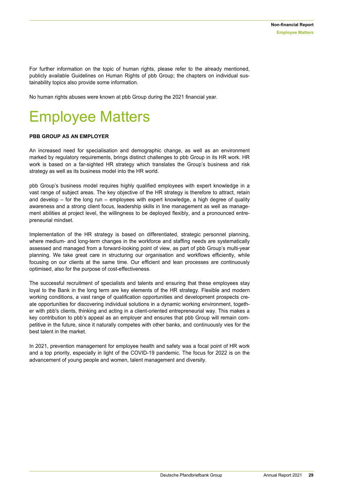For further information on the topic of human rights, please refer to the already mentioned, publicly available Guidelines on Human Rights of pbb Group; the chapters on individual sustainability topics also provide some information.

No human rights abuses were known at pbb Group during the 2021 financial year.

### <span id="page-28-0"></span>Employee Matters

#### **PBB GROUP AS AN EMPLOYER**

An increased need for specialisation and demographic change, as well as an environment marked by regulatory requirements, brings distinct challenges to pbb Group in its HR work. HR work is based on a far-sighted HR strategy which translates the Group's business and risk strategy as well as its business model into the HR world.

pbb Group's business model requires highly qualified employees with expert knowledge in a vast range of subject areas. The key objective of the HR strategy is therefore to attract, retain and develop – for the long run – employees with expert knowledge, a high degree of quality awareness and a strong client focus, leadership skills in line management as well as management abilities at project level, the willingness to be deployed flexibly, and a pronounced entrepreneurial mindset.

Implementation of the HR strategy is based on differentiated, strategic personnel planning, where medium- and long-term changes in the workforce and staffing needs are systematically assessed and managed from a forward-looking point of view, as part of pbb Group's multi-year planning. We take great care in structuring our organisation and workflows efficiently, while focusing on our clients at the same time. Our efficient and lean processes are continuously optimised, also for the purpose of cost-effectiveness.

The successful recruitment of specialists and talents and ensuring that these employees stay loyal to the Bank in the long term are key elements of the HR strategy. Flexible and modern working conditions, a vast range of qualification opportunities and development prospects create opportunities for discovering individual solutions in a dynamic working environment, together with pbb's clients, thinking and acting in a client-oriented entrepreneurial way. This makes a key contribution to pbb's appeal as an employer and ensures that pbb Group will remain competitive in the future, since it naturally competes with other banks, and continuously vies for the best talent in the market.

In 2021, prevention management for employee health and safety was a focal point of HR work and a top priority, especially in light of the COVID-19 pandemic. The focus for 2022 is on the advancement of young people and women, talent management and diversity.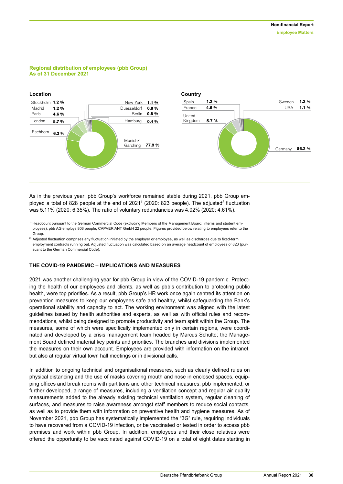#### **Regional distribution of employees (pbb Group) As of 31 December 2021**



As in the previous year, pbb Group's workforce remained stable during 2021. pbb Group employed a total of 828 people at the end of 2021<sup>1</sup> (2020: 823 people). The adjusted<sup>2</sup> fluctuation was 5.11% (2020: 6.35%). The ratio of voluntary redundancies was 4.02% (2020: 4.61%).

<sup>1)</sup> Headcount pursuant to the German Commercial Code (excluding Members of the Management Board, interns and student employees). pbb AG employs 806 people, CAPVERIANT GmbH 22 people. Figures provided below relating to employees refer to the Group.

 $^{2)}$  Adjusted fluctuation comprises any fluctuation initiated by the employer or employee, as well as discharges due to fixed-term employment contracts running out. Adjusted fluctuation was calculated based on an average headcount of employees of 823 (pursuant to the German Commercial Code).

#### **THE COVID-19 PANDEMIC – IMPLICATIONS AND MEASURES**

2021 was another challenging year for pbb Group in view of the COVID-19 pandemic. Protecting the health of our employees and clients, as well as pbb's contribution to protecting public health, were top priorities. As a result, pbb Group's HR work once again centred its attention on prevention measures to keep our employees safe and healthy, whilst safeguarding the Bank's operational stability and capacity to act. The working environment was aligned with the latest guidelines issued by health authorities and experts, as well as with official rules and recommendations, whilst being designed to promote productivity and team spirit within the Group. The measures, some of which were specifically implemented only in certain regions, were coordinated and developed by a crisis management team headed by Marcus Schulte; the Management Board defined material key points and priorities. The branches and divisions implemented the measures on their own account. Employees are provided with information on the intranet, but also at regular virtual town hall meetings or in divisional calls.

In addition to ongoing technical and organisational measures, such as clearly defined rules on physical distancing and the use of masks covering mouth and nose in enclosed spaces, equipping offices and break rooms with partitions and other technical measures, pbb implemented, or further developed, a range of measures, including a ventilation concept and regular air quality measurements added to the already existing technical ventilation system, regular cleaning of surfaces, and measures to raise awareness amongst staff members to reduce social contacts, as well as to provide them with information on preventive health and hygiene measures. As of November 2021, pbb Group has systematically implemented the "3G" rule, requiring individuals to have recovered from a COVID-19 infection, or be vaccinated or tested in order to access pbb premises and work within pbb Group. In addition, employees and their close relatives were offered the opportunity to be vaccinated against COVID-19 on a total of eight dates starting in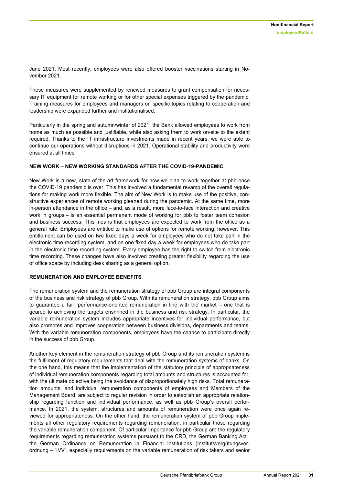June 2021. Most recently, employees were also offered booster vaccinations starting in November 2021.

These measures were supplemented by renewed measures to grant compensation for necessary IT equipment for remote working or for other special expenses triggered by the pandemic. Training measures for employees and managers on specific topics relating to cooperation and leadership were expanded further and institutionalised.

Particularly in the spring and autumn/winter of 2021, the Bank allowed employees to work from home as much as possible and justifiable, while also asking them to work on-site to the extent required. Thanks to the IT infrastructure investments made in recent years, we were able to continue our operations without disruptions in 2021. Operational stability and productivity were ensured at all times.

#### **NEW WORK – NEW WORKING STANDARDS AFTER THE COVID-19-PANDEMIC**

New Work is a new, state-of-the-art framework for how we plan to work together at pbb once the COVID-19 pandemic is over. This has involved a fundamental revamp of the overall regulations for making work more flexible. The aim of New Work is to make use of the positive, constructive experiences of remote working gleaned during the pandemic. At the same time, more in-person attendance in the office – and, as a result, more face-to-face interaction and creative work in groups – is an essential permanent mode of working for pbb to foster team cohesion and business success. This means that employees are expected to work from the office as a general rule. Employees are entitled to make use of options for remote working, however. This entitlement can be used on two fixed days a week for employees who do not take part in the electronic time recording system, and on one fixed day a week for employees who do take part in the electronic time recording system. Every employee has the right to switch from electronic time recording. [These](https://intranet.hre.loc/ceo-cfo/human-resources/regelungen-und-betriebsvereinbarungen/arbeitszeit-rufbereitschaft-und-sonstige-einsaetze.html) changes have also involved creating greater flexibility regarding the use of office space by including desk sharing as a general option.

#### **REMUNERATION AND EMPLOYEE BENEFITS**

The remuneration system and the remuneration strategy of pbb Group are integral components of the business and risk strategy of pbb Group. With its remuneration strategy, pbb Group aims to guarantee a fair, performance-oriented remuneration in line with the market – one that is geared to achieving the targets enshrined in the business and risk strategy. In particular, the variable remuneration system includes appropriate incentives for individual performance, but also promotes and improves cooperation between business divisions, departments and teams. With the variable remuneration components, employees have the chance to participate directly in the success of pbb Group.

Another key element in the remuneration strategy of pbb Group and its remuneration system is the fulfilment of regulatory requirements that deal with the remuneration systems of banks. On the one hand, this means that the implementation of the statutory principle of appropriateness of individual remuneration components regarding total amounts and structures is accounted for, with the ultimate objective being the avoidance of disproportionately high risks. Total remuneration amounts, and individual remuneration components of employees and Members of the Management Board, are subject to regular revision in order to establish an appropriate relationship regarding function and individual performance, as well as pbb Group's overall performance. In 2021, the system, structures and amounts of remuneration were once again reviewed for appropriateness. On the other hand, the remuneration system of pbb Group implements all other regulatory requirements regarding remuneration, in particular those regarding the variable remuneration component. Of particular importance for pbb Group are the regulatory requirements regarding remuneration systems pursuant to the CRD, the German Banking Act , the German Ordinance on Remuneration in Financial Institutions (Institutsvergütungsverordnung – "IVV"; especially requirements on the variable remuneration of risk takers and senior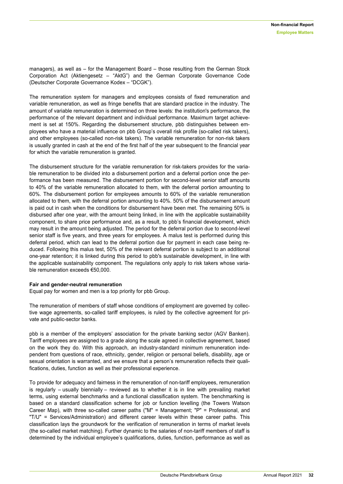managers), as well as – for the Management Board – those resulting from the German Stock Corporation Act (Aktiengesetz – "AktG") and the German Corporate Governance Code (Deutscher Corporate Governance Kodex – "DCGK").

The remuneration system for managers and employees consists of fixed remuneration and variable remuneration, as well as fringe benefits that are standard practice in the industry. The amount of variable remuneration is determined on three levels: the institution's performance, the performance of the relevant department and individual performance. Maximum target achievement is set at 150%. Regarding the disbursement structure, pbb distinguishes between employees who have a material influence on pbb Group's overall risk profile (so-called risk takers), and other employees (so-called non-risk takers). The variable remuneration for non-risk takers is usually granted in cash at the end of the first half of the year subsequent to the financial year for which the variable remuneration is granted.

The disbursement structure for the variable remuneration for risk-takers provides for the variable remuneration to be divided into a disbursement portion and a deferral portion once the performance has been measured. The disbursement portion for second-level senior staff amounts to 40% of the variable remuneration allocated to them, with the deferral portion amounting to 60%. The disbursement portion for employees amounts to 60% of the variable remuneration allocated to them, with the deferral portion amounting to 40%. 50% of the disbursement amount is paid out in cash when the conditions for disbursement have been met. The remaining 50% is disbursed after one year, with the amount being linked, in line with the applicable sustainability component, to share price performance and, as a result, to pbb's financial development, which may result in the amount being adjusted. The period for the deferral portion due to second-level senior staff is five years, and three years for employees. A malus test is performed during this deferral period, which can lead to the deferral portion due for payment in each case being reduced. Following this malus test, 50% of the relevant deferral portion is subject to an additional one-year retention; it is linked during this period to pbb's sustainable development, in line with the applicable sustainability component. The regulations only apply to risk takers whose variable remuneration exceeds €50,000.

#### **Fair and gender-neutral remuneration**

Equal pay for women and men is a top priority for pbb Group.

The remuneration of members of staff whose conditions of employment are governed by collective wage agreements, so-called tariff employees, is ruled by the collective agreement for private and public-sector banks.

pbb is a member of the employers' association for the private banking sector (AGV Banken). Tariff employees are assigned to a grade along the scale agreed in collective agreement, based on the work they do. With this approach, an industry-standard minimum remuneration independent from questions of race, ethnicity, gender, religion or personal beliefs, disability, age or sexual orientation is warranted, and we ensure that a person's remuneration reflects their qualifications, duties, function as well as their professional experience.

To provide for adequacy and fairness in the remuneration of non-tariff employees, remuneration is regularly – usually biennially – reviewed as to whether it is in line with prevailing market terms, using external benchmarks and a functional classification system. The benchmarking is based on a standard classification scheme for job or function levelling (the Towers Watson Career Map), with three so-called career paths ("M" = Management; "P" = Professional, and "T/U" = Services/Administration) and different career levels within these career paths. This classification lays the groundwork for the verification of remuneration in terms of market levels (the so-called market matching). Further dynamic to the salaries of non-tariff members of staff is determined by the individual employee's qualifications, duties, function, performance as well as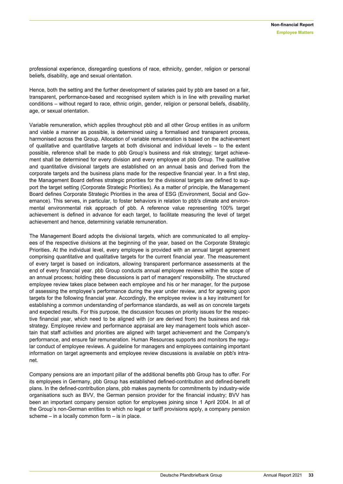professional experience, disregarding questions of race, ethnicity, gender, religion or personal beliefs, disability, age and sexual orientation.

Hence, both the setting and the further development of salaries paid by pbb are based on a fair, transparent, performance-based and recognised system which is in line with prevailing market conditions – without regard to race, ethnic origin, gender, religion or personal beliefs, disability, age, or sexual orientation.

Variable remuneration, which applies throughout pbb and all other Group entities in as uniform and viable a manner as possible, is determined using a formalised and transparent process, harmonised across the Group. Allocation of variable remuneration is based on the achievement of qualitative and quantitative targets at both divisional and individual levels – to the extent possible, reference shall be made to pbb Group's business and risk strategy; target achievement shall be determined for every division and every employee at pbb Group. The qualitative and quantitative divisional targets are established on an annual basis and derived from the corporate targets and the business plans made for the respective financial year. In a first step, the Management Board defines strategic priorities for the divisional targets are defined to support the target setting (Corporate Strategic Priorities). As a matter of principle, the Management Board defines Corporate Strategic Priorities in the area of ESG (Environment, Social and Governance). This serves, in particular, to foster behaviors in relation to pbb's climate and environmental environmental risk approach of pbb. A reference value representing 100% target achievement is defined in advance for each target, to facilitate measuring the level of target achievement and hence, determining variable remuneration.

The Management Board adopts the divisional targets, which are communicated to all employees of the respective divisions at the beginning of the year, based on the Corporate Strategic Priorities. At the individual level, every employee is provided with an annual target agreement comprising quantitative and qualitative targets for the current financial year. The measurement of every target is based on indicators, allowing transparent performance assessments at the end of every financial year. pbb Group conducts annual employee reviews within the scope of an annual process; holding these discussions is part of managers' responsibility. The structured employee review takes place between each employee and his or her manager, for the purpose of assessing the employee's performance during the year under review, and for agreeing upon targets for the following financial year. Accordingly, the employee review is a key instrument for establishing a common understanding of performance standards, as well as on concrete targets and expected results. For this purpose, the discussion focuses on priority issues for the respective financial year, which need to be aligned with (or are derived from) the business and risk strategy. Employee review and performance appraisal are key management tools which ascertain that staff activities and priorities are aligned with target achievement and the Company's performance, and ensure fair remuneration. Human Resources supports and monitors the regular conduct of employee reviews. A guideline for managers and employees containing important information on target agreements and employee review discussions is available on pbb's intranet.

Company pensions are an important pillar of the additional benefits pbb Group has to offer. For its employees in Germany, pbb Group has established defined-contribution and defined-benefit plans. In the defined-contribution plans, pbb makes payments for commitments by industry-wide organisations such as BVV, the German pension provider for the financial industry; BVV has been an important company pension option for employees joining since 1 April 2004. In all of the Group's non-German entities to which no legal or tariff provisions apply, a company pension scheme – in a locally common form – is in place.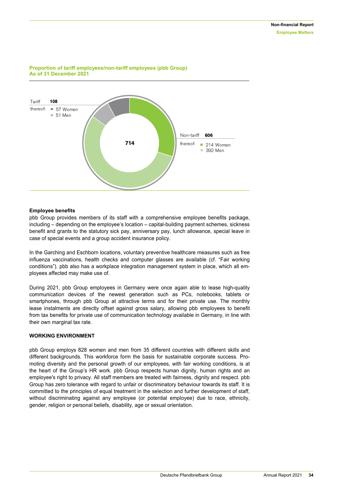

#### **Proportion of tariff employees/non-tariff employees (pbb Group) As of 31 December 2021**

#### **Employee benefits**

pbb Group provides members of its staff with a comprehensive employee benefits package, including – depending on the employee's location – capital-building payment schemes, sickness benefit and grants to the statutory sick pay, anniversary pay, lunch allowance, special leave in case of special events and a group accident insurance policy.

In the Garching and Eschborn locations, voluntary preventive healthcare measures such as free influenza vaccinations, health checks and computer glasses are available (cf. "Fair working conditions"). pbb also has a workplace integration management system in place, which all employees affected may make use of.

During 2021, pbb Group employees in Germany were once again able to lease high-quality communication devices of the newest generation such as PCs, notebooks, tablets or smartphones, through pbb Group at attractive terms and for their private use. The monthly lease instalments are directly offset against gross salary, allowing pbb employees to benefit from tax benefits for private use of communication technology available in Germany, in line with their own marginal tax rate.

#### **WORKING ENVIRONMENT**

pbb Group employs 828 women and men from 35 different countries with different skills and different backgrounds. This workforce form the basis for sustainable corporate success. Promoting diversity and the personal growth of our employees, with fair working conditions, is at the heart of the Group's HR work. pbb Group respects human dignity, human rights and an employee's right to privacy. All staff members are treated with fairness, dignity and respect. pbb Group has zero tolerance with regard to unfair or discriminatory behaviour towards its staff. It is committed to the principles of equal treatment in the selection and further development of staff, without discriminating against any employee (or potential employee) due to race, ethnicity, gender, religion or personal beliefs, disability, age or sexual orientation.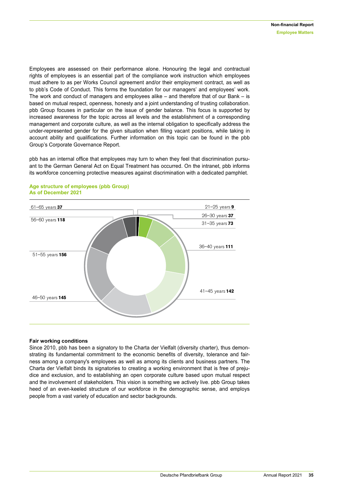Employees are assessed on their performance alone. Honouring the legal and contractual rights of employees is an essential part of the compliance work instruction which employees must adhere to as per Works Council agreement and/or their employment contract, as well as to pbb's Code of Conduct. This forms the foundation for our managers' and employees' work. The work and conduct of managers and employees alike – and therefore that of our Bank – is based on mutual respect, openness, honesty and a joint understanding of trusting collaboration. pbb Group focuses in particular on the issue of gender balance. This focus is supported by increased awareness for the topic across all levels and the establishment of a corresponding management and corporate culture, as well as the internal obligation to specifically address the under-represented gender for the given situation when filling vacant positions, while taking in account ability and qualifications. Further information on this topic can be found in the pbb Group's Corporate Governance Report.

pbb has an internal office that employees may turn to when they feel that discrimination pursuant to the German General Act on Equal Treatment has occurred. On the intranet, pbb informs its workforce concerning protective measures against discrimination with a dedicated pamphlet.



#### **Age structure of employees (pbb Group) As of December 2021**

#### **Fair working conditions**

Since 2010, pbb has been a signatory to the Charta der Vielfalt (diversity charter), thus demonstrating its fundamental commitment to the economic benefits of diversity, tolerance and fairness among a company's employees as well as among its clients and business partners. The Charta der Vielfalt binds its signatories to creating a working environment that is free of prejudice and exclusion, and to establishing an open corporate culture based upon mutual respect and the involvement of stakeholders. This vision is something we actively live. pbb Group takes heed of an even-keeled structure of our workforce in the demographic sense, and employs people from a vast variety of education and sector backgrounds.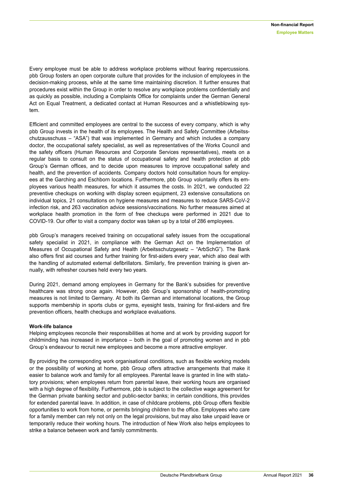Every employee must be able to address workplace problems without fearing repercussions. pbb Group fosters an open corporate culture that provides for the inclusion of employees in the decision-making process, while at the same time maintaining discretion. It further ensures that procedures exist within the Group in order to resolve any workplace problems confidentially and as quickly as possible, including a Complaints Office for complaints under the German General Act on Equal Treatment, a dedicated contact at Human Resources and a whistleblowing system.

Efficient and committed employees are central to the success of every company, which is why pbb Group invests in the health of its employees. The Health and Safety Committee (Arbeitsschutzausschuss – "ASA") that was implemented in Germany and which includes a company doctor, the occupational safety specialist, as well as representatives of the Works Council and the safety officers (Human Resources and Corporate Services representatives), meets on a regular basis to consult on the status of occupational safety and health protection at pbb Group's German offices, and to decide upon measures to improve occupational safety and health, and the prevention of accidents. Company doctors hold consultation hours for employees at the Garching and Eschborn locations. Furthermore, pbb Group voluntarily offers its employees various health measures, for which it assumes the costs. In 2021, we conducted 22 preventive checkups on working with display screen equipment, 23 extensive consultations on individual topics, 21 consultations on hygiene measures and measures to reduce SARS-CoV-2 infection risk, and 263 vaccination advice sessions/vaccinations. No further measures aimed at workplace health promotion in the form of free checkups were performed in 2021 due to COVID-19. Our offer to visit a company doctor was taken up by a total of 286 employees.

pbb Group's managers received training on occupational safety issues from the occupational safety specialist in 2021, in compliance with the German Act on the Implementation of Measures of Occupational Safety and Health (Arbeitsschutzgesetz – "ArbSchG"). The Bank also offers first aid courses and further training for first-aiders every year, which also deal with the handling of automated external defibrillators. Similarly, fire prevention training is given annually, with refresher courses held every two years.

During 2021, demand among employees in Germany for the Bank's subsidies for preventive healthcare was strong once again. However, pbb Group's sponsorship of health-promoting measures is not limited to Germany. At both its German and international locations, the Group supports membership in sports clubs or gyms, eyesight tests, training for first-aiders and fire prevention officers, health checkups and workplace evaluations.

#### **Work-life balance**

Helping employees reconcile their responsibilities at home and at work by providing support for childminding has increased in importance  $-$  both in the goal of promoting women and in  $pbb$ Group's endeavour to recruit new employees and become a more attractive employer.

By providing the corresponding work organisational conditions, such as flexible working models or the possibility of working at home, pbb Group offers attractive arrangements that make it easier to balance work and family for all employees. Parental leave is granted in line with statutory provisions; when employees return from parental leave, their working hours are organised with a high degree of flexibility. Furthermore, pbb is subject to the collective wage agreement for the German private banking sector and public-sector banks; in certain conditions, this provides for extended parental leave. In addition, in case of childcare problems, pbb Group offers flexible opportunities to work from home, or permits bringing children to the office. Employees who care for a family member can rely not only on the legal provisions, but may also take unpaid leave or temporarily reduce their working hours. The introduction of New Work also helps employees to strike a balance between work and family commitments.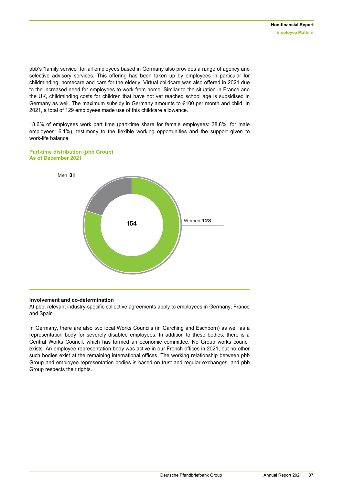pbb's "family service" for all employees based in Germany also provides a range of agency and selective advisory services. This offering has been taken up by employees in particular for childminding, homecare and care for the elderly. Virtual childcare was also offered in 2021 due to the increased need for employees to work from home. Similar to the situation in France and the UK, childminding costs for children that have not yet reached school age is subsidised in Germany as well. The maximum subsidy in Germany amounts to €100 per month and child. In 2021, a total of 129 employees made use of this childcare allowance.

18.6% of employees work part time (part-time share for female employees: 38.8%, for male employees: 6.1%), testimony to the flexible working opportunities and the support given to work-life balance.



#### **Part-time distribution (pbb Group) As of December 2021**

#### **Involvement and co-determination**

At pbb, relevant industry-specific collective agreements apply to employees in Germany, France and Spain.

In Germany, there are also two local Works Councils (in Garching and Eschborn) as well as a representation body for severely disabled employees. In addition to these bodies, there is a Central Works Council, which has formed an economic committee. No Group works council exists. An employee representation body was active in our French offices in 2021, but no other such bodies exist at the remaining international offices. The working relationship between pbb Group and employee representation bodies is based on trust and regular exchanges, and pbb Group respects their rights.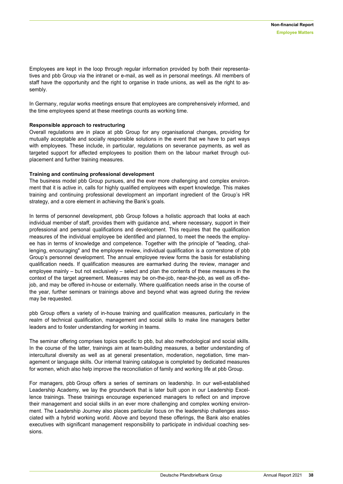Employees are kept in the loop through regular information provided by both their representatives and pbb Group via the intranet or e-mail, as well as in personal meetings. All members of staff have the opportunity and the right to organise in trade unions, as well as the right to assembly.

In Germany, regular works meetings ensure that employees are comprehensively informed, and the time employees spend at these meetings counts as working time.

#### **Responsible approach to restructuring**

Overall regulations are in place at pbb Group for any organisational changes, providing for mutually acceptable and socially responsible solutions in the event that we have to part ways with employees. These include, in particular, regulations on severance payments, as well as targeted support for affected employees to position them on the labour market through outplacement and further training measures.

#### **Training and continuing professional development**

The business model pbb Group pursues, and the ever more challenging and complex environment that it is active in, calls for highly qualified employees with expert knowledge. This makes training and continuing professional development an important ingredient of the Group's HR strategy, and a core element in achieving the Bank's goals.

In terms of personnel development, pbb Group follows a holistic approach that looks at each individual member of staff, provides them with guidance and, where necessary, support in their professional and personal qualifications and development. This requires that the qualification measures of the individual employee be identified and planned, to meet the needs the employee has in terms of knowledge and competence. Together with the principle of "leading, challenging, encouraging" and the employee review, individual qualification is a cornerstone of pbb Group's personnel development. The annual employee review forms the basis for establishing qualification needs. If qualification measures are earmarked during the review, manager and employee mainly – but not exclusively – select and plan the contents of these measures in the context of the target agreement. Measures may be on-the-job, near-the-job, as well as off-thejob, and may be offered in-house or externally. Where qualification needs arise in the course of the year, further seminars or trainings above and beyond what was agreed during the review may be requested.

pbb Group offers a variety of in-house training and qualification measures, particularly in the realm of technical qualification, management and social skills to make line managers better leaders and to foster understanding for working in teams.

The seminar offering comprises topics specific to pbb, but also methodological and social skills. In the course of the latter, trainings aim at team-building measures, a better understanding of intercultural diversity as well as at general presentation, moderation, negotiation, time management or language skills. Our internal training catalogue is completed by dedicated measures for women, which also help improve the reconciliation of family and working life at pbb Group.

For managers, pbb Group offers a series of seminars on leadership. In our well-established Leadership Academy, we lay the groundwork that is later built upon in our Leadership Excellence trainings. These trainings encourage experienced managers to reflect on and improve their management and social skills in an ever more challenging and complex working environment. The Leadership Journey also places particular focus on the leadership challenges associated with a hybrid working world. Above and beyond these offerings, the Bank also enables executives with significant management responsibility to participate in individual coaching sessions.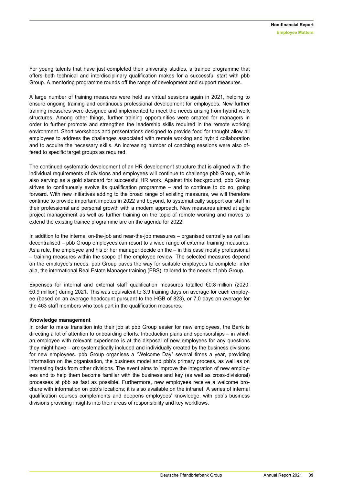For young talents that have just completed their university studies, a trainee programme that offers both technical and interdisciplinary qualification makes for a successful start with pbb Group. A mentoring programme rounds off the range of development and support measures.

A large number of training measures were held as virtual sessions again in 2021, helping to ensure ongoing training and continuous professional development for employees. New further training measures were designed and implemented to meet the needs arising from hybrid work structures. Among other things, further training opportunities were created for managers in order to further promote and strengthen the leadership skills required in the remote working environment. Short workshops and presentations designed to provide food for thought allow all employees to address the challenges associated with remote working and hybrid collaboration and to acquire the necessary skills. An increasing number of coaching sessions were also offered to specific target groups as required.

The continued systematic development of an HR development structure that is aligned with the individual requirements of divisions and employees will continue to challenge pbb Group, while also serving as a gold standard for successful HR work. Against this background, pbb Group strives to continuously evolve its qualification programme – and to continue to do so, going forward. With new initiatives adding to the broad range of existing measures, we will therefore continue to provide important impetus in 2022 and beyond, to systematically support our staff in their professional and personal growth with a modern approach. New measures aimed at agile project management as well as further training on the topic of remote working and moves to extend the existing trainee programme are on the agenda for 2022.

In addition to the internal on-the-job and near-the-job measures – organised centrally as well as decentralised – pbb Group employees can resort to a wide range of external training measures. As a rule, the employee and his or her manager decide on the – in this case mostly professional – training measures within the scope of the employee review. The selected measures depend on the employee's needs. pbb Group paves the way for suitable employees to complete, inter alia, the international Real Estate Manager training (EBS), tailored to the needs of pbb Group.

Expenses for internal and external staff qualification measures totalled €0.8 million (2020: €0.9 million) during 2021. This was equivalent to 3.9 training days on average for each employee (based on an average headcount pursuant to the HGB of 823), or 7.0 days on average for the 463 staff members who took part in the qualification measures.

#### **Knowledge management**

In order to make transition into their job at pbb Group easier for new employees, the Bank is directing a lot of attention to onboarding efforts. Introduction plans and sponsorships – in which an employee with relevant experience is at the disposal of new employees for any questions they might have – are systematically included and individually created by the business divisions for new employees. pbb Group organises a "Welcome Day" several times a year, providing information on the organisation, the business model and pbb's primary process, as well as on interesting facts from other divisions. The event aims to improve the integration of new employees and to help them become familiar with the business and key (as well as cross-divisional) processes at pbb as fast as possible. Furthermore, new employees receive a welcome brochure with information on pbb's locations; it is also available on the intranet. A series of internal qualification courses complements and deepens employees' knowledge, with pbb's business divisions providing insights into their areas of responsibility and key workflows.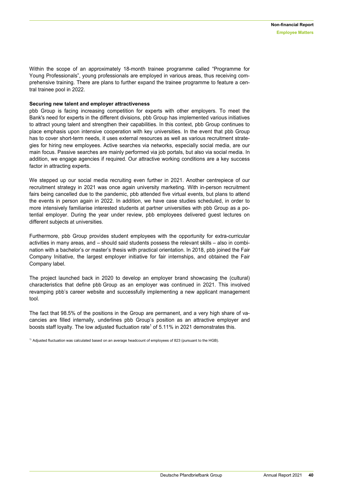Within the scope of an approximately 18-month trainee programme called "Programme for Young Professionals", young professionals are employed in various areas, thus receiving comprehensive training. There are plans to further expand the trainee programme to feature a central trainee pool in 2022.

#### **Securing new talent and employer attractiveness**

pbb Group is facing increasing competition for experts with other employers. To meet the Bank's need for experts in the different divisions, pbb Group has implemented various initiatives to attract young talent and strengthen their capabilities. In this context, pbb Group continues to place emphasis upon intensive cooperation with key universities. In the event that pbb Group has to cover short-term needs, it uses external resources as well as various recruitment strategies for hiring new employees. Active searches via networks, especially social media, are our main focus. Passive searches are mainly performed via job portals, but also via social media. In addition, we engage agencies if required. Our attractive working conditions are a key success factor in attracting experts.

We stepped up our social media recruiting even further in 2021. Another centrepiece of our recruitment strategy in 2021 was once again university marketing. With in-person recruitment fairs being cancelled due to the pandemic, pbb attended five virtual events, but plans to attend the events in person again in 2022. In addition, we have case studies scheduled, in order to more intensively familiarise interested students at partner universities with pbb Group as a potential employer. During the year under review, pbb employees delivered guest lectures on different subjects at universities.

Furthermore, pbb Group provides student employees with the opportunity for extra-curricular activities in many areas, and – should said students possess the relevant skills – also in combination with a bachelor's or master's thesis with practical orientation. In 2018, pbb joined the Fair Company Initiative, the largest employer initiative for fair internships, and obtained the Fair Company label.

The project launched back in 2020 to develop an employer brand showcasing the (cultural) characteristics that define pbb Group as an employer was continued in 2021. This involved revamping pbb's career website and successfully implementing a new applicant management tool.

The fact that 98.5% of the positions in the Group are permanent, and a very high share of vacancies are filled internally, underlines pbb Group's position as an attractive employer and boosts staff loyalty. The low adjusted fluctuation rate<sup>1</sup> of 5.11% in 2021 demonstrates this.

<span id="page-39-0"></span> $1)$  Adjusted fluctuation was calculated based on an average headcount of employees of 823 (pursuant to the HGB).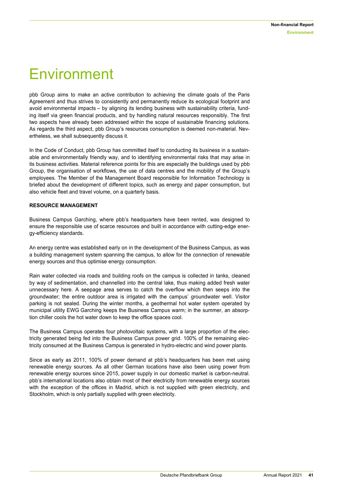### Environment

pbb Group aims to make an active contribution to achieving the climate goals of the Paris Agreement and thus strives to consistently and permanently reduce its ecological footprint and avoid environmental impacts – by aligning its lending business with sustainability criteria, funding itself via green financial products, and by handling natural resources responsibly. The first two aspects have already been addressed within the scope of sustainable financing solutions. As regards the third aspect, pbb Group's resources consumption is deemed non-material. Nevertheless, we shall subsequently discuss it.

In the Code of Conduct, pbb Group has committed itself to conducting its business in a sustainable and environmentally friendly way, and to identifying environmental risks that may arise in its business activities. Material reference points for this are especially the buildings used by pbb Group, the organisation of workflows, the use of data centres and the mobility of the Group's employees. The Member of the Management Board responsible for Information Technology is briefed about the development of different topics, such as energy and paper consumption, but also vehicle fleet and travel volume, on a quarterly basis.

#### **RESOURCE MANAGEMENT**

Business Campus Garching, where pbb's headquarters have been rented, was designed to ensure the responsible use of scarce resources and built in accordance with cutting-edge energy-efficiency standards.

An energy centre was established early on in the development of the Business Campus, as was a building management system spanning the campus, to allow for the connection of renewable energy sources and thus optimise energy consumption.

Rain water collected via roads and building roofs on the campus is collected in tanks, cleaned by way of sedimentation, and channelled into the central lake, thus making added fresh water unnecessary here. A seepage area serves to catch the overflow which then seeps into the groundwater; the entire outdoor area is irrigated with the campus' groundwater well. Visitor parking is not sealed. During the winter months, a geothermal hot water system operated by municipal utility EWG Garching keeps the Business Campus warm; in the summer, an absorption chiller cools the hot water down to keep the office spaces cool.

The Business Campus operates four photovoltaic systems, with a large proportion of the electricity generated being fed into the Business Campus power grid. 100% of the remaining electricity consumed at the Business Campus is generated in hydro-electric and wind power plants.

Since as early as 2011, 100% of power demand at pbb's headquarters has been met using renewable energy sources. As all other German locations have also been using power from renewable energy sources since 2015, power supply in our domestic market is carbon-neutral. pbb's international locations also obtain most of their electricity from renewable energy sources with the exception of the offices in Madrid, which is not supplied with green electricity, and Stockholm, which is only partially supplied with green electricity.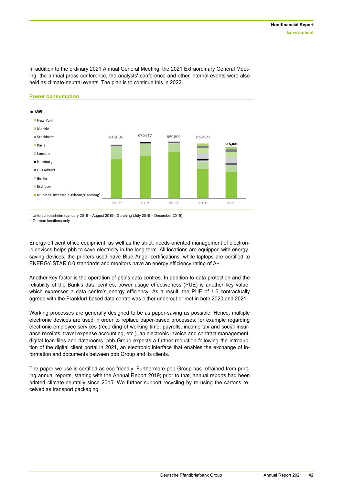In addition to the ordinary 2021 Annual General Meeting, the 2021 Extraordinary General Meeting, the annual press conference, the analysts' conference and other internal events were also held as climate-neutral events. The plan is to continue this in 2022.



1) Unterschleissheim (January 2019 – August 2019), Garching (July 2019 – December 2019).

2) German locations only.

Energy-efficient office equipment, as well as the strict, needs-oriented management of electronic devices helps pbb to save electricity in the long term. All locations are equipped with energysaving devices: the printers used have Blue Angel certifications, while laptops are certified to ENERGY STAR 8.0 standards and monitors have an energy efficiency rating of A+.

Another key factor is the operation of pbb's data centres. In addition to data protection and the reliability of the Bank's data centres, power usage effectiveness (PUE) is another key value, which expresses a data centre's energy efficiency. As a result, the PUE of 1.6 contractually agreed with the Frankfurt-based data centre was either undercut or met in both 2020 and 2021.

Working processes are generally designed to be as paper-saving as possible. Hence, multiple electronic devices are used in order to replace paper-based processes; for example regarding electronic employee services (recording of working time, payrolls, income tax and social insurance receipts, travel expense accounting, etc.), an electronic invoice and contract management, digital loan files and datarooms. pbb Group expects a further reduction following the introduction of the digital client portal in 2021, an electronic interface that enables the exchange of information and documents between pbb Group and its clients.

The paper we use is certified as eco-friendly. Furthermore pbb Group has refrained from printing annual reports, starting with the Annual Report 2019; prior to that, annual reports had been printed climate-neutrally since 2015. We further support recycling by re-using the cartons received as transport packaging.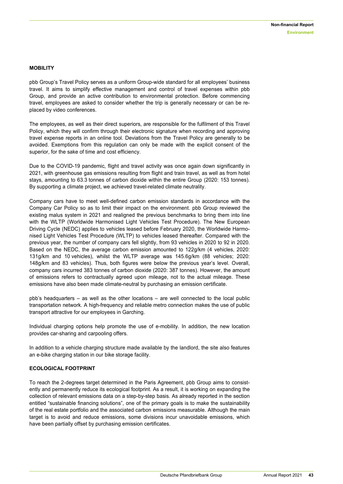#### **MOBILITY**

pbb Group's Travel Policy serves as a uniform Group-wide standard for all employees' business travel. It aims to simplify effective management and control of travel expenses within pbb Group, and provide an active contribution to environmental protection. Before commencing travel, employees are asked to consider whether the trip is generally necessary or can be replaced by video conferences.

The employees, as well as their direct superiors, are responsible for the fulfilment of this Travel Policy, which they will confirm through their electronic signature when recording and approving travel expense reports in an online tool. Deviations from the Travel Policy are generally to be avoided. Exemptions from this regulation can only be made with the explicit consent of the superior, for the sake of time and cost efficiency.

Due to the COVID-19 pandemic, flight and travel activity was once again down significantly in 2021, with greenhouse gas emissions resulting from flight and train travel, as well as from hotel stays, amounting to 63.3 tonnes of carbon dioxide within the entire Group (2020: 153 tonnes). By supporting a climate project, we achieved travel-related climate neutrality.

Company cars have to meet well-defined carbon emission standards in accordance with the Company Car Policy so as to limit their impact on the environment. pbb Group reviewed the existing malus system in 2021 and realigned the previous benchmarks to bring them into line with the WLTP (Worldwide Harmonised Light Vehicles Test Procedure). The New European Driving Cycle (NEDC) applies to vehicles leased before February 2020, the Worldwide Harmonised Light Vehicles Test Procedure (WLTP) to vehicles leased thereafter. Compared with the previous year, the number of company cars fell slightly, from 93 vehicles in 2020 to 92 in 2020. Based on the NEDC, the average carbon emission amounted to 122g/km (4 vehicles, 2020: 131g/km and 10 vehicles), whilst the WLTP average was 145.6g/km (88 vehicles; 2020: 148g/km and 83 vehicles). Thus, both figures were below the previous year's level. Overall, company cars incurred 383 tonnes of carbon dioxide (2020: 387 tonnes). However, the amount of emissions refers to contractually agreed upon mileage, not to the actual mileage. These emissions have also been made climate-neutral by purchasing an emission certificate.

pbb's headquarters – as well as the other locations – are well connected to the local public transportation network. A high-frequency and reliable metro connection makes the use of public transport attractive for our employees in Garching.

Individual charging options help promote the use of e-mobility. In addition, the new location provides car-sharing and carpooling offers.

In addition to a vehicle charging structure made available by the landlord, the site also features an e-bike charging station in our bike storage facility.

#### **ECOLOGICAL FOOTPRINT**

To reach the 2-degrees target determined in the Paris Agreement, pbb Group aims to consistently and permanently reduce its ecological footprint. As a result, it is working on expanding the collection of relevant emissions data on a step-by-step basis. As already reported in the section entitled "sustainable financing solutions", one of the primary goals is to make the sustainability of the real estate portfolio and the associated carbon emissions measurable. Although the main target is to avoid and reduce emissions, some divisions incur unavoidable emissions, which have been partially offset by purchasing emission certificates.